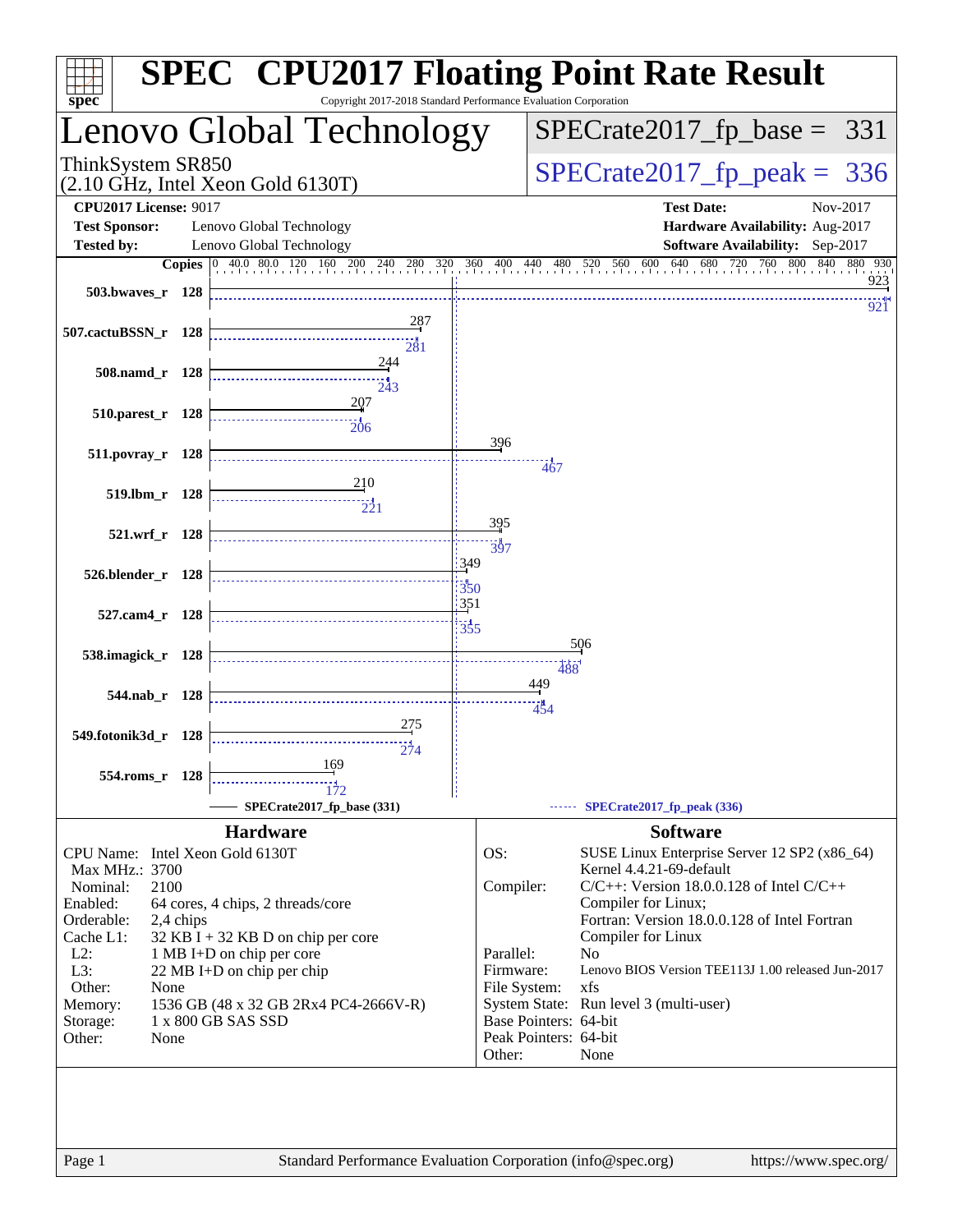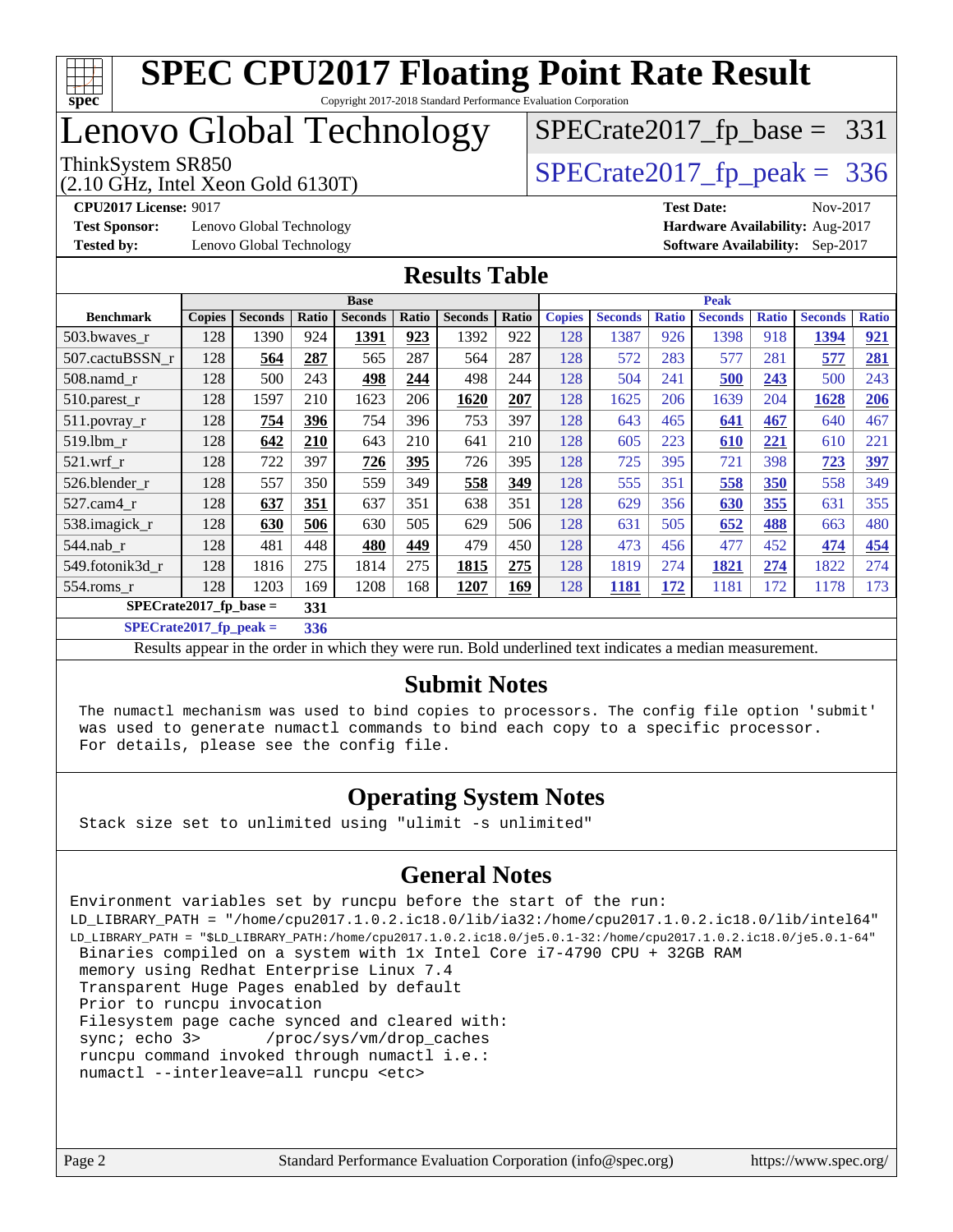

# Lenovo Global Technology

(2.10 GHz, Intel Xeon Gold 6130T)

ThinkSystem SR850<br>(2.10 GHz, Intel Xeon Gold 6130T)  $\begin{array}{r} | \text{SPECrate2017\_fp\_peak} = 336 \end{array}$ 

[SPECrate2017\\_fp\\_base =](http://www.spec.org/auto/cpu2017/Docs/result-fields.html#SPECrate2017fpbase) 331

**[Test Sponsor:](http://www.spec.org/auto/cpu2017/Docs/result-fields.html#TestSponsor)** Lenovo Global Technology **[Hardware Availability:](http://www.spec.org/auto/cpu2017/Docs/result-fields.html#HardwareAvailability)** Aug-2017 **[Tested by:](http://www.spec.org/auto/cpu2017/Docs/result-fields.html#Testedby)** Lenovo Global Technology **[Software Availability:](http://www.spec.org/auto/cpu2017/Docs/result-fields.html#SoftwareAvailability)** Sep-2017

**[CPU2017 License:](http://www.spec.org/auto/cpu2017/Docs/result-fields.html#CPU2017License)** 9017 **[Test Date:](http://www.spec.org/auto/cpu2017/Docs/result-fields.html#TestDate)** Nov-2017

### **[Results Table](http://www.spec.org/auto/cpu2017/Docs/result-fields.html#ResultsTable)**

| <b>Base</b>               |               |                |       |                |       | <b>Peak</b>    |       |               |                |              |                |              |                |            |
|---------------------------|---------------|----------------|-------|----------------|-------|----------------|-------|---------------|----------------|--------------|----------------|--------------|----------------|------------|
| <b>Benchmark</b>          | <b>Copies</b> | <b>Seconds</b> | Ratio | <b>Seconds</b> | Ratio | <b>Seconds</b> | Ratio | <b>Copies</b> | <b>Seconds</b> | <b>Ratio</b> | <b>Seconds</b> | <b>Ratio</b> | <b>Seconds</b> | Ratio      |
| 503.bwaves_r              | 128           | 1390           | 924   | 1391           | 923   | 1392           | 922   | 128           | 1387           | 926          | 1398           | 918          | 1394           | 921        |
| 507.cactuBSSN r           | 128           | 564            | 287   | 565            | 287   | 564            | 287   | 128           | 572            | 283          | 577            | 281          | 577            | 281        |
| $508$ .namd $r$           | 128           | 500            | 243   | 498            | 244   | 498            | 244   | 128           | 504            | 241          | 500            | 243          | 500            | 243        |
| 510.parest_r              | 128           | 1597           | 210   | 1623           | 206   | 1620           | 207   | 128           | 1625           | 206          | 1639           | 204          | 1628           | 206        |
| 511.povray_r              | 128           | 754            | 396   | 754            | 396   | 753            | 397   | 128           | 643            | 465          | 641            | 467          | 640            | 467        |
| 519.1bm r                 | 128           | 642            | 210   | 643            | 210   | 641            | 210   | 128           | 605            | 223          | 610            | 221          | 610            | 221        |
| $521$ .wrf r              | 128           | 722            | 397   | 726            | 395   | 726            | 395   | 128           | 725            | 395          | 721            | 398          | 723            | <u>397</u> |
| 526.blender r             | 128           | 557            | 350   | 559            | 349   | 558            | 349   | 128           | 555            | 351          | 558            | 350          | 558            | 349        |
| $527.cam4_r$              | 128           | 637            | 351   | 637            | 351   | 638            | 351   | 128           | 629            | 356          | 630            | 355          | 631            | 355        |
| 538.imagick_r             | 128           | 630            | 506   | 630            | 505   | 629            | 506   | 128           | 631            | 505          | 652            | 488          | 663            | 480        |
| $544$ .nab r              | 128           | 481            | 448   | 480            | 449   | 479            | 450   | 128           | 473            | 456          | 477            | 452          | 474            | 454        |
| 549.fotonik3d_r           | 128           | 1816           | 275   | 1814           | 275   | 1815           | 275   | 128           | 1819           | 274          | 1821           | 274          | 1822           | 274        |
| $554$ .roms $r$           | 128           | 1203           | 169   | 1208           | 168   | 1207           | 169   | 128           | 1181           | 172          | 1181           | 172          | 1178           | 173        |
| $SPECrate2017_fp\_base =$ |               |                | 331   |                |       |                |       |               |                |              |                |              |                |            |

**[SPECrate2017\\_fp\\_peak =](http://www.spec.org/auto/cpu2017/Docs/result-fields.html#SPECrate2017fppeak) 336**

Results appear in the [order in which they were run](http://www.spec.org/auto/cpu2017/Docs/result-fields.html#RunOrder). Bold underlined text [indicates a median measurement](http://www.spec.org/auto/cpu2017/Docs/result-fields.html#Median).

### **[Submit Notes](http://www.spec.org/auto/cpu2017/Docs/result-fields.html#SubmitNotes)**

 The numactl mechanism was used to bind copies to processors. The config file option 'submit' was used to generate numactl commands to bind each copy to a specific processor. For details, please see the config file.

### **[Operating System Notes](http://www.spec.org/auto/cpu2017/Docs/result-fields.html#OperatingSystemNotes)**

Stack size set to unlimited using "ulimit -s unlimited"

### **[General Notes](http://www.spec.org/auto/cpu2017/Docs/result-fields.html#GeneralNotes)**

Environment variables set by runcpu before the start of the run: LD\_LIBRARY\_PATH = "/home/cpu2017.1.0.2.ic18.0/lib/ia32:/home/cpu2017.1.0.2.ic18.0/lib/intel64" LD\_LIBRARY\_PATH = "\$LD\_LIBRARY\_PATH:/home/cpu2017.1.0.2.ic18.0/je5.0.1-32:/home/cpu2017.1.0.2.ic18.0/je5.0.1-64" Binaries compiled on a system with 1x Intel Core i7-4790 CPU + 32GB RAM memory using Redhat Enterprise Linux 7.4 Transparent Huge Pages enabled by default Prior to runcpu invocation Filesystem page cache synced and cleared with: sync; echo 3> /proc/sys/vm/drop\_caches runcpu command invoked through numactl i.e.: numactl --interleave=all runcpu <etc>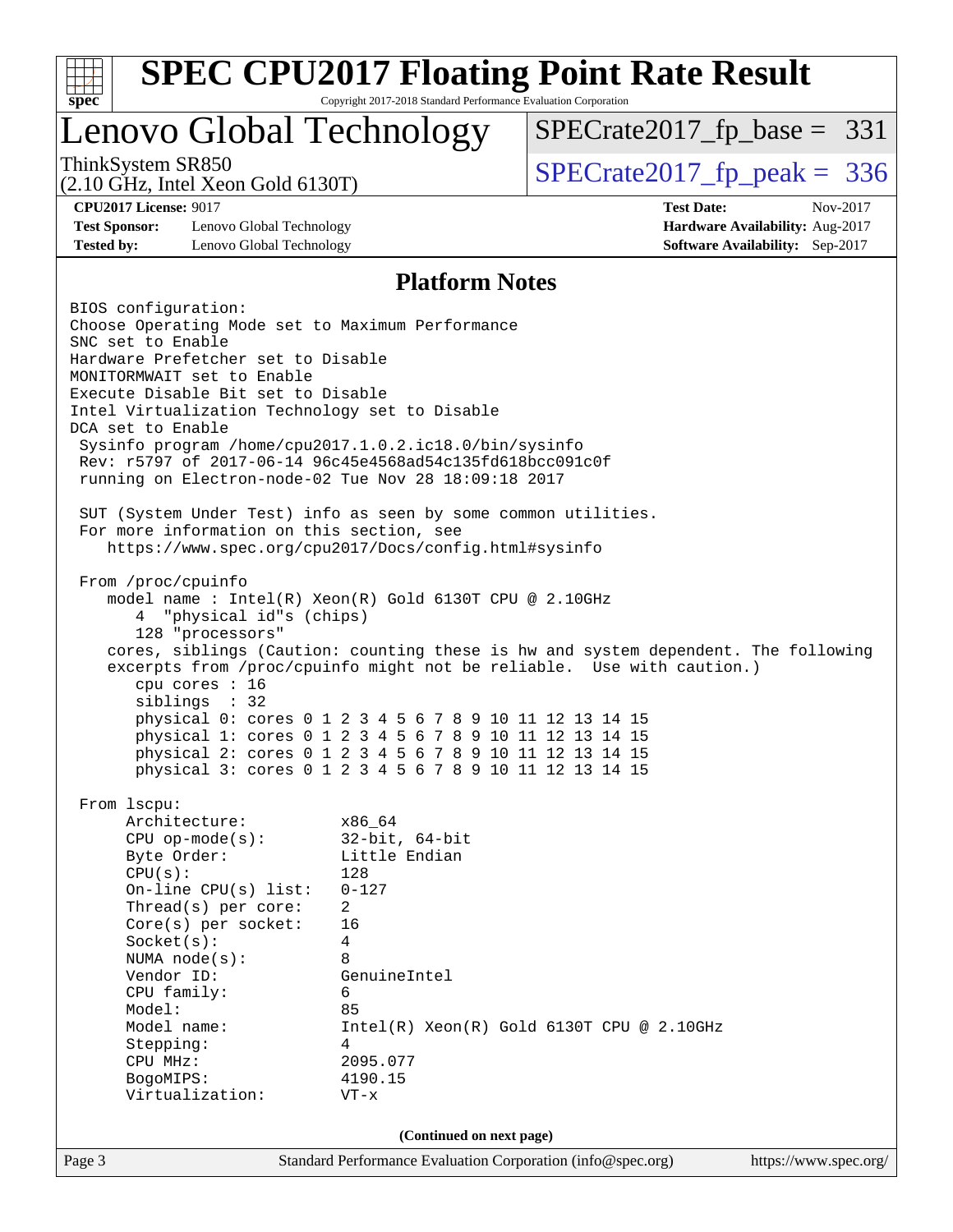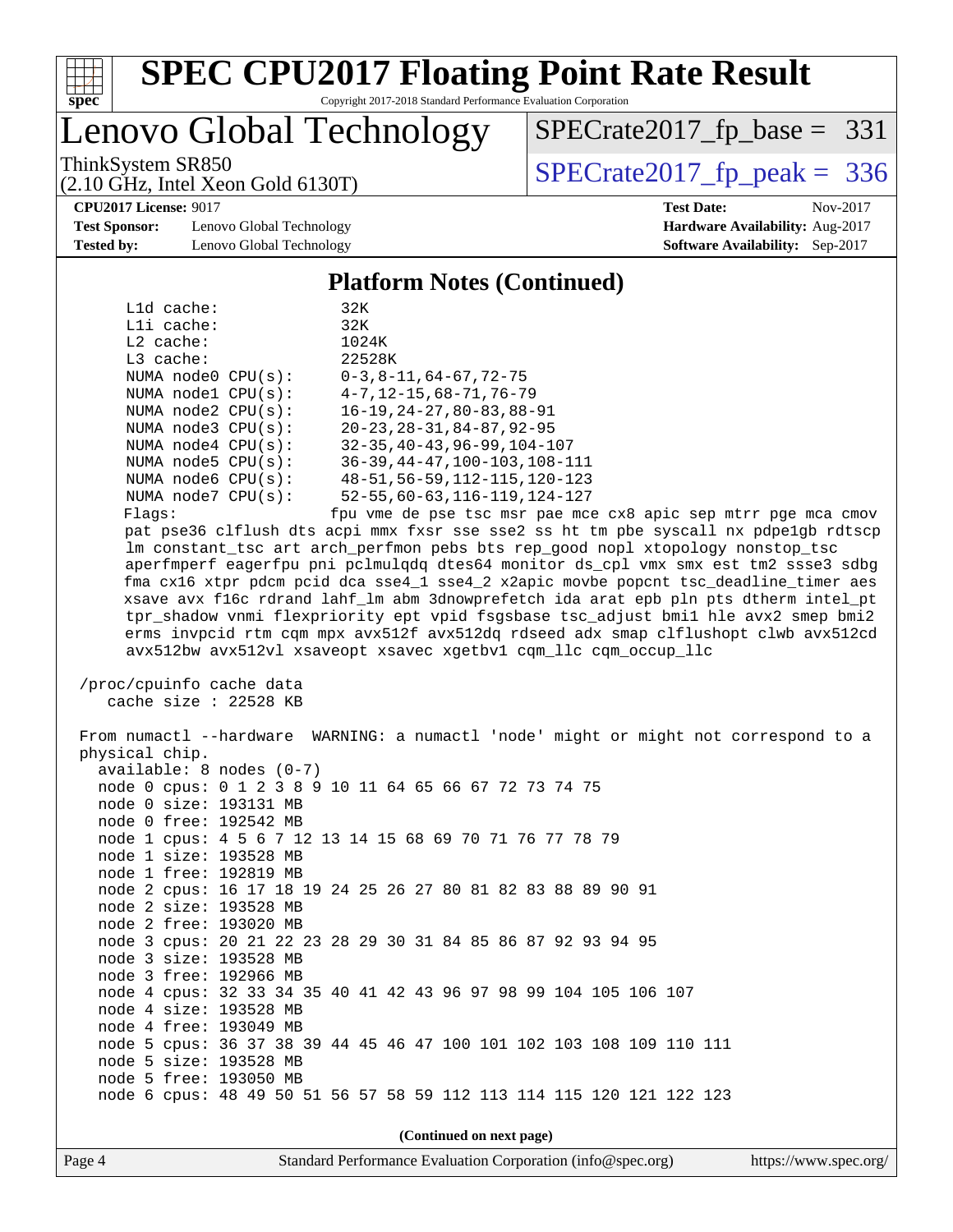

# **[SPEC CPU2017 Floating Point Rate Result](http://www.spec.org/auto/cpu2017/Docs/result-fields.html#SPECCPU2017FloatingPointRateResult)**

Copyright 2017-2018 Standard Performance Evaluation Corporation

# Lenovo Global Technology

ThinkSystem SR850<br>(2.10 GHz, Intel Xeon Gold 6130T)  $\begin{array}{r} | \text{SPECrate2017\_fp\_peak} = 336 \end{array}$ [SPECrate2017\\_fp\\_base =](http://www.spec.org/auto/cpu2017/Docs/result-fields.html#SPECrate2017fpbase) 331

(2.10 GHz, Intel Xeon Gold 6130T)

**[Test Sponsor:](http://www.spec.org/auto/cpu2017/Docs/result-fields.html#TestSponsor)** Lenovo Global Technology **[Hardware Availability:](http://www.spec.org/auto/cpu2017/Docs/result-fields.html#HardwareAvailability)** Aug-2017 **[Tested by:](http://www.spec.org/auto/cpu2017/Docs/result-fields.html#Testedby)** Lenovo Global Technology **[Software Availability:](http://www.spec.org/auto/cpu2017/Docs/result-fields.html#SoftwareAvailability)** Sep-2017

**[CPU2017 License:](http://www.spec.org/auto/cpu2017/Docs/result-fields.html#CPU2017License)** 9017 **[Test Date:](http://www.spec.org/auto/cpu2017/Docs/result-fields.html#TestDate)** Nov-2017

#### **[Platform Notes \(Continued\)](http://www.spec.org/auto/cpu2017/Docs/result-fields.html#PlatformNotes)**

|             | $L1d$ cache: |                          | 32K                                           |
|-------------|--------------|--------------------------|-----------------------------------------------|
|             | $L1i$ cache: |                          | 32K                                           |
| $L2$ cache: |              |                          | 1024K                                         |
| $L3$ cache: |              |                          | 22528K                                        |
|             |              | NUMA $node0$ $CPU(s):$   | $0-3, 8-11, 64-67, 72-75$                     |
|             |              | NUMA nodel CPU(s):       | $4 - 7$ , $12 - 15$ , $68 - 71$ , $76 - 79$   |
|             |              | NUMA $node2$ $CPU(s)$ :  | $16 - 19, 24 - 27, 80 - 83, 88 - 91$          |
|             |              | NUMA $node3$ $CPU(s)$ :  | $20 - 23$ , $28 - 31$ , $84 - 87$ , $92 - 95$ |
|             |              | NUMA $node4$ $CPU(s)$ :  | $32 - 35, 40 - 43, 96 - 99, 104 - 107$        |
|             |              | NUMA node5 CPU(s):       | $36 - 39, 44 - 47, 100 - 103, 108 - 111$      |
|             |              | NUMA $node6$ $CPU(s):$   | 48-51, 56-59, 112-115, 120-123                |
|             |              | NUMA $node7$ CPU $(s)$ : | $52 - 55, 60 - 63, 116 - 119, 124 - 127$      |
|             |              |                          |                                               |

Flags: fpu vme de pse tsc msr pae mce cx8 apic sep mtrr pge mca cmov pat pse36 clflush dts acpi mmx fxsr sse sse2 ss ht tm pbe syscall nx pdpe1gb rdtscp lm constant\_tsc art arch\_perfmon pebs bts rep\_good nopl xtopology nonstop\_tsc aperfmperf eagerfpu pni pclmulqdq dtes64 monitor ds\_cpl vmx smx est tm2 ssse3 sdbg fma cx16 xtpr pdcm pcid dca sse4\_1 sse4\_2 x2apic movbe popcnt tsc\_deadline\_timer aes xsave avx f16c rdrand lahf\_lm abm 3dnowprefetch ida arat epb pln pts dtherm intel\_pt tpr\_shadow vnmi flexpriority ept vpid fsgsbase tsc\_adjust bmi1 hle avx2 smep bmi2 erms invpcid rtm cqm mpx avx512f avx512dq rdseed adx smap clflushopt clwb avx512cd avx512bw avx512vl xsaveopt xsavec xgetbv1 cqm\_llc cqm\_occup\_llc

 /proc/cpuinfo cache data cache size : 22528 KB

 From numactl --hardware WARNING: a numactl 'node' might or might not correspond to a physical chip. available: 8 nodes (0-7) node 0 cpus: 0 1 2 3 8 9 10 11 64 65 66 67 72 73 74 75 node 0 size: 193131 MB node 0 free: 192542 MB node 1 cpus: 4 5 6 7 12 13 14 15 68 69 70 71 76 77 78 79 node 1 size: 193528 MB node 1 free: 192819 MB node 2 cpus: 16 17 18 19 24 25 26 27 80 81 82 83 88 89 90 91 node 2 size: 193528 MB node 2 free: 193020 MB node 3 cpus: 20 21 22 23 28 29 30 31 84 85 86 87 92 93 94 95 node 3 size: 193528 MB node 3 free: 192966 MB node 4 cpus: 32 33 34 35 40 41 42 43 96 97 98 99 104 105 106 107 node 4 size: 193528 MB node 4 free: 193049 MB node 5 cpus: 36 37 38 39 44 45 46 47 100 101 102 103 108 109 110 111 node 5 size: 193528 MB node 5 free: 193050 MB node 6 cpus: 48 49 50 51 56 57 58 59 112 113 114 115 120 121 122 123 **(Continued on next page)**

Page 4 Standard Performance Evaluation Corporation [\(info@spec.org\)](mailto:info@spec.org) <https://www.spec.org/>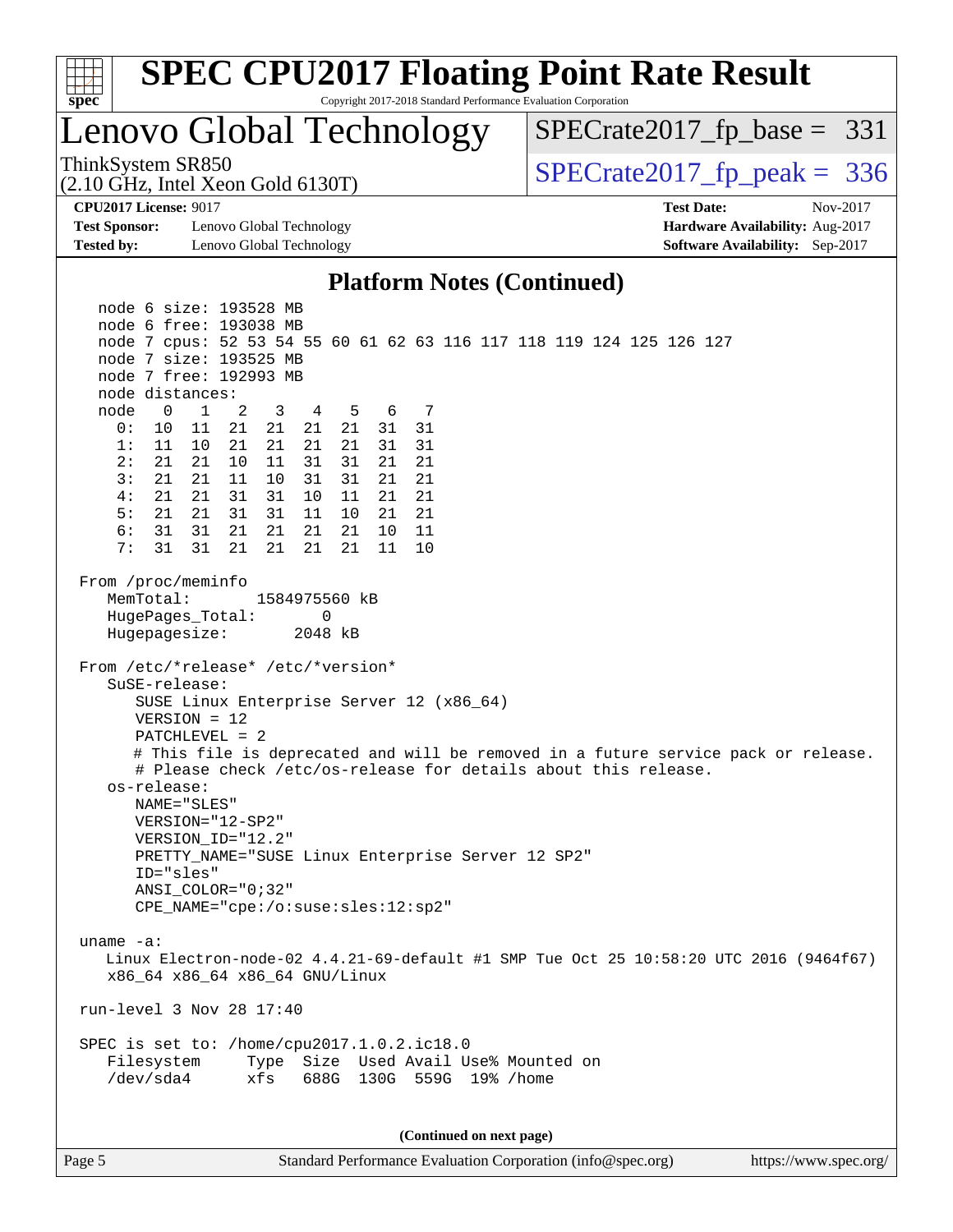| <b>SPEC CPU2017 Floating Point Rate Result</b><br>ĦТ<br>spec<br>Copyright 2017-2018 Standard Performance Evaluation Corporation<br>Lenovo Global Technology<br>$SPECrate2017_fp\_base = 331$<br>ThinkSystem SR850<br>$SPECTate2017$ _fp_peak = 336<br>$(2.10 \text{ GHz}, \text{Intel Xeon Gold } 6130 \text{T})$<br><b>CPU2017 License: 9017</b><br><b>Test Date:</b><br>Nov-2017<br><b>Test Sponsor:</b><br>Lenovo Global Technology<br>Hardware Availability: Aug-2017<br><b>Tested by:</b><br>Lenovo Global Technology<br>Software Availability: Sep-2017<br><b>Platform Notes (Continued)</b><br>node 6 size: 193528 MB<br>node 6 free: 193038 MB<br>node 7 cpus: 52 53 54 55 60 61 62 63 116 117 118 119 124 125 126 127<br>node 7 size: 193525 MB<br>node 7 free: 192993 MB<br>node distances:<br>2<br>5<br>7<br>node<br>$\overline{0}$<br>1<br>3<br>$\overline{4}$<br>6<br>31<br>0:<br>11<br>21<br>21<br>21<br>31<br>10<br>21<br>21<br>21<br>21<br>31<br>31<br>1:<br>11<br>10<br>21<br>2:<br>21<br>21<br>10<br>11<br>31<br>31<br>21<br>21<br>3:<br>21<br>11<br>31<br>21<br>21<br>10<br>31<br>21<br>4:<br>21<br>21<br>31<br>21<br>31<br>10<br>11<br>21<br>5:<br>21<br>21<br>11<br>21<br>31<br>31<br>10<br>21<br>6:<br>31<br>21<br>21<br>11<br>31<br>21<br>21<br>10<br>7:<br>31<br>31<br>21<br>21<br>21<br>21<br>11<br>10<br>From /proc/meminfo<br>MemTotal:<br>1584975560 kB<br>HugePages_Total:<br>0<br>Hugepagesize:<br>2048 kB<br>From /etc/*release* /etc/*version*<br>$S$ uSE-release:<br>SUSE Linux Enterprise Server 12 (x86_64)<br>$VERSION = 12$<br>PATCHLEVEL = 2<br># This file is deprecated and will be removed in a future service pack or release.<br># Please check /etc/os-release for details about this release.<br>os-release:<br>NAME="SLES"<br>VERSION="12-SP2"<br>VERSION_ID="12.2"<br>PRETTY_NAME="SUSE Linux Enterprise Server 12 SP2"<br>ID="sles"<br>$ANSI$ _COLOR=" $0:32$ "<br>CPE_NAME="cpe:/o:suse:sles:12:sp2"<br>uname $-a$ :<br>Linux Electron-node-02 4.4.21-69-default #1 SMP Tue Oct 25 10:58:20 UTC 2016 (9464f67)<br>x86_64 x86_64 x86_64 GNU/Linux<br>run-level 3 Nov 28 17:40<br>SPEC is set to: /home/cpu2017.1.0.2.ic18.0<br>Filesystem<br>Type Size Used Avail Use% Mounted on<br>/dev/sda4<br>688G 130G 559G 19% / home<br>xfs<br>(Continued on next page)<br>Standard Performance Evaluation Corporation (info@spec.org) |        |  |  |  |  |  |
|-------------------------------------------------------------------------------------------------------------------------------------------------------------------------------------------------------------------------------------------------------------------------------------------------------------------------------------------------------------------------------------------------------------------------------------------------------------------------------------------------------------------------------------------------------------------------------------------------------------------------------------------------------------------------------------------------------------------------------------------------------------------------------------------------------------------------------------------------------------------------------------------------------------------------------------------------------------------------------------------------------------------------------------------------------------------------------------------------------------------------------------------------------------------------------------------------------------------------------------------------------------------------------------------------------------------------------------------------------------------------------------------------------------------------------------------------------------------------------------------------------------------------------------------------------------------------------------------------------------------------------------------------------------------------------------------------------------------------------------------------------------------------------------------------------------------------------------------------------------------------------------------------------------------------------------------------------------------------------------------------------------------------------------------------------------------------------------------------------------------------------------------------------------------------------------------------------------------------------------------------------------------------------------------------------------------------------------------------------------------------------|--------|--|--|--|--|--|
|                                                                                                                                                                                                                                                                                                                                                                                                                                                                                                                                                                                                                                                                                                                                                                                                                                                                                                                                                                                                                                                                                                                                                                                                                                                                                                                                                                                                                                                                                                                                                                                                                                                                                                                                                                                                                                                                                                                                                                                                                                                                                                                                                                                                                                                                                                                                                                               |        |  |  |  |  |  |
|                                                                                                                                                                                                                                                                                                                                                                                                                                                                                                                                                                                                                                                                                                                                                                                                                                                                                                                                                                                                                                                                                                                                                                                                                                                                                                                                                                                                                                                                                                                                                                                                                                                                                                                                                                                                                                                                                                                                                                                                                                                                                                                                                                                                                                                                                                                                                                               |        |  |  |  |  |  |
|                                                                                                                                                                                                                                                                                                                                                                                                                                                                                                                                                                                                                                                                                                                                                                                                                                                                                                                                                                                                                                                                                                                                                                                                                                                                                                                                                                                                                                                                                                                                                                                                                                                                                                                                                                                                                                                                                                                                                                                                                                                                                                                                                                                                                                                                                                                                                                               |        |  |  |  |  |  |
|                                                                                                                                                                                                                                                                                                                                                                                                                                                                                                                                                                                                                                                                                                                                                                                                                                                                                                                                                                                                                                                                                                                                                                                                                                                                                                                                                                                                                                                                                                                                                                                                                                                                                                                                                                                                                                                                                                                                                                                                                                                                                                                                                                                                                                                                                                                                                                               |        |  |  |  |  |  |
|                                                                                                                                                                                                                                                                                                                                                                                                                                                                                                                                                                                                                                                                                                                                                                                                                                                                                                                                                                                                                                                                                                                                                                                                                                                                                                                                                                                                                                                                                                                                                                                                                                                                                                                                                                                                                                                                                                                                                                                                                                                                                                                                                                                                                                                                                                                                                                               |        |  |  |  |  |  |
|                                                                                                                                                                                                                                                                                                                                                                                                                                                                                                                                                                                                                                                                                                                                                                                                                                                                                                                                                                                                                                                                                                                                                                                                                                                                                                                                                                                                                                                                                                                                                                                                                                                                                                                                                                                                                                                                                                                                                                                                                                                                                                                                                                                                                                                                                                                                                                               |        |  |  |  |  |  |
|                                                                                                                                                                                                                                                                                                                                                                                                                                                                                                                                                                                                                                                                                                                                                                                                                                                                                                                                                                                                                                                                                                                                                                                                                                                                                                                                                                                                                                                                                                                                                                                                                                                                                                                                                                                                                                                                                                                                                                                                                                                                                                                                                                                                                                                                                                                                                                               |        |  |  |  |  |  |
|                                                                                                                                                                                                                                                                                                                                                                                                                                                                                                                                                                                                                                                                                                                                                                                                                                                                                                                                                                                                                                                                                                                                                                                                                                                                                                                                                                                                                                                                                                                                                                                                                                                                                                                                                                                                                                                                                                                                                                                                                                                                                                                                                                                                                                                                                                                                                                               |        |  |  |  |  |  |
|                                                                                                                                                                                                                                                                                                                                                                                                                                                                                                                                                                                                                                                                                                                                                                                                                                                                                                                                                                                                                                                                                                                                                                                                                                                                                                                                                                                                                                                                                                                                                                                                                                                                                                                                                                                                                                                                                                                                                                                                                                                                                                                                                                                                                                                                                                                                                                               |        |  |  |  |  |  |
|                                                                                                                                                                                                                                                                                                                                                                                                                                                                                                                                                                                                                                                                                                                                                                                                                                                                                                                                                                                                                                                                                                                                                                                                                                                                                                                                                                                                                                                                                                                                                                                                                                                                                                                                                                                                                                                                                                                                                                                                                                                                                                                                                                                                                                                                                                                                                                               |        |  |  |  |  |  |
|                                                                                                                                                                                                                                                                                                                                                                                                                                                                                                                                                                                                                                                                                                                                                                                                                                                                                                                                                                                                                                                                                                                                                                                                                                                                                                                                                                                                                                                                                                                                                                                                                                                                                                                                                                                                                                                                                                                                                                                                                                                                                                                                                                                                                                                                                                                                                                               |        |  |  |  |  |  |
|                                                                                                                                                                                                                                                                                                                                                                                                                                                                                                                                                                                                                                                                                                                                                                                                                                                                                                                                                                                                                                                                                                                                                                                                                                                                                                                                                                                                                                                                                                                                                                                                                                                                                                                                                                                                                                                                                                                                                                                                                                                                                                                                                                                                                                                                                                                                                                               |        |  |  |  |  |  |
|                                                                                                                                                                                                                                                                                                                                                                                                                                                                                                                                                                                                                                                                                                                                                                                                                                                                                                                                                                                                                                                                                                                                                                                                                                                                                                                                                                                                                                                                                                                                                                                                                                                                                                                                                                                                                                                                                                                                                                                                                                                                                                                                                                                                                                                                                                                                                                               |        |  |  |  |  |  |
|                                                                                                                                                                                                                                                                                                                                                                                                                                                                                                                                                                                                                                                                                                                                                                                                                                                                                                                                                                                                                                                                                                                                                                                                                                                                                                                                                                                                                                                                                                                                                                                                                                                                                                                                                                                                                                                                                                                                                                                                                                                                                                                                                                                                                                                                                                                                                                               |        |  |  |  |  |  |
|                                                                                                                                                                                                                                                                                                                                                                                                                                                                                                                                                                                                                                                                                                                                                                                                                                                                                                                                                                                                                                                                                                                                                                                                                                                                                                                                                                                                                                                                                                                                                                                                                                                                                                                                                                                                                                                                                                                                                                                                                                                                                                                                                                                                                                                                                                                                                                               |        |  |  |  |  |  |
|                                                                                                                                                                                                                                                                                                                                                                                                                                                                                                                                                                                                                                                                                                                                                                                                                                                                                                                                                                                                                                                                                                                                                                                                                                                                                                                                                                                                                                                                                                                                                                                                                                                                                                                                                                                                                                                                                                                                                                                                                                                                                                                                                                                                                                                                                                                                                                               |        |  |  |  |  |  |
|                                                                                                                                                                                                                                                                                                                                                                                                                                                                                                                                                                                                                                                                                                                                                                                                                                                                                                                                                                                                                                                                                                                                                                                                                                                                                                                                                                                                                                                                                                                                                                                                                                                                                                                                                                                                                                                                                                                                                                                                                                                                                                                                                                                                                                                                                                                                                                               |        |  |  |  |  |  |
|                                                                                                                                                                                                                                                                                                                                                                                                                                                                                                                                                                                                                                                                                                                                                                                                                                                                                                                                                                                                                                                                                                                                                                                                                                                                                                                                                                                                                                                                                                                                                                                                                                                                                                                                                                                                                                                                                                                                                                                                                                                                                                                                                                                                                                                                                                                                                                               |        |  |  |  |  |  |
|                                                                                                                                                                                                                                                                                                                                                                                                                                                                                                                                                                                                                                                                                                                                                                                                                                                                                                                                                                                                                                                                                                                                                                                                                                                                                                                                                                                                                                                                                                                                                                                                                                                                                                                                                                                                                                                                                                                                                                                                                                                                                                                                                                                                                                                                                                                                                                               |        |  |  |  |  |  |
|                                                                                                                                                                                                                                                                                                                                                                                                                                                                                                                                                                                                                                                                                                                                                                                                                                                                                                                                                                                                                                                                                                                                                                                                                                                                                                                                                                                                                                                                                                                                                                                                                                                                                                                                                                                                                                                                                                                                                                                                                                                                                                                                                                                                                                                                                                                                                                               |        |  |  |  |  |  |
| https://www.spec.org/                                                                                                                                                                                                                                                                                                                                                                                                                                                                                                                                                                                                                                                                                                                                                                                                                                                                                                                                                                                                                                                                                                                                                                                                                                                                                                                                                                                                                                                                                                                                                                                                                                                                                                                                                                                                                                                                                                                                                                                                                                                                                                                                                                                                                                                                                                                                                         |        |  |  |  |  |  |
|                                                                                                                                                                                                                                                                                                                                                                                                                                                                                                                                                                                                                                                                                                                                                                                                                                                                                                                                                                                                                                                                                                                                                                                                                                                                                                                                                                                                                                                                                                                                                                                                                                                                                                                                                                                                                                                                                                                                                                                                                                                                                                                                                                                                                                                                                                                                                                               |        |  |  |  |  |  |
|                                                                                                                                                                                                                                                                                                                                                                                                                                                                                                                                                                                                                                                                                                                                                                                                                                                                                                                                                                                                                                                                                                                                                                                                                                                                                                                                                                                                                                                                                                                                                                                                                                                                                                                                                                                                                                                                                                                                                                                                                                                                                                                                                                                                                                                                                                                                                                               |        |  |  |  |  |  |
|                                                                                                                                                                                                                                                                                                                                                                                                                                                                                                                                                                                                                                                                                                                                                                                                                                                                                                                                                                                                                                                                                                                                                                                                                                                                                                                                                                                                                                                                                                                                                                                                                                                                                                                                                                                                                                                                                                                                                                                                                                                                                                                                                                                                                                                                                                                                                                               |        |  |  |  |  |  |
|                                                                                                                                                                                                                                                                                                                                                                                                                                                                                                                                                                                                                                                                                                                                                                                                                                                                                                                                                                                                                                                                                                                                                                                                                                                                                                                                                                                                                                                                                                                                                                                                                                                                                                                                                                                                                                                                                                                                                                                                                                                                                                                                                                                                                                                                                                                                                                               |        |  |  |  |  |  |
|                                                                                                                                                                                                                                                                                                                                                                                                                                                                                                                                                                                                                                                                                                                                                                                                                                                                                                                                                                                                                                                                                                                                                                                                                                                                                                                                                                                                                                                                                                                                                                                                                                                                                                                                                                                                                                                                                                                                                                                                                                                                                                                                                                                                                                                                                                                                                                               | Page 5 |  |  |  |  |  |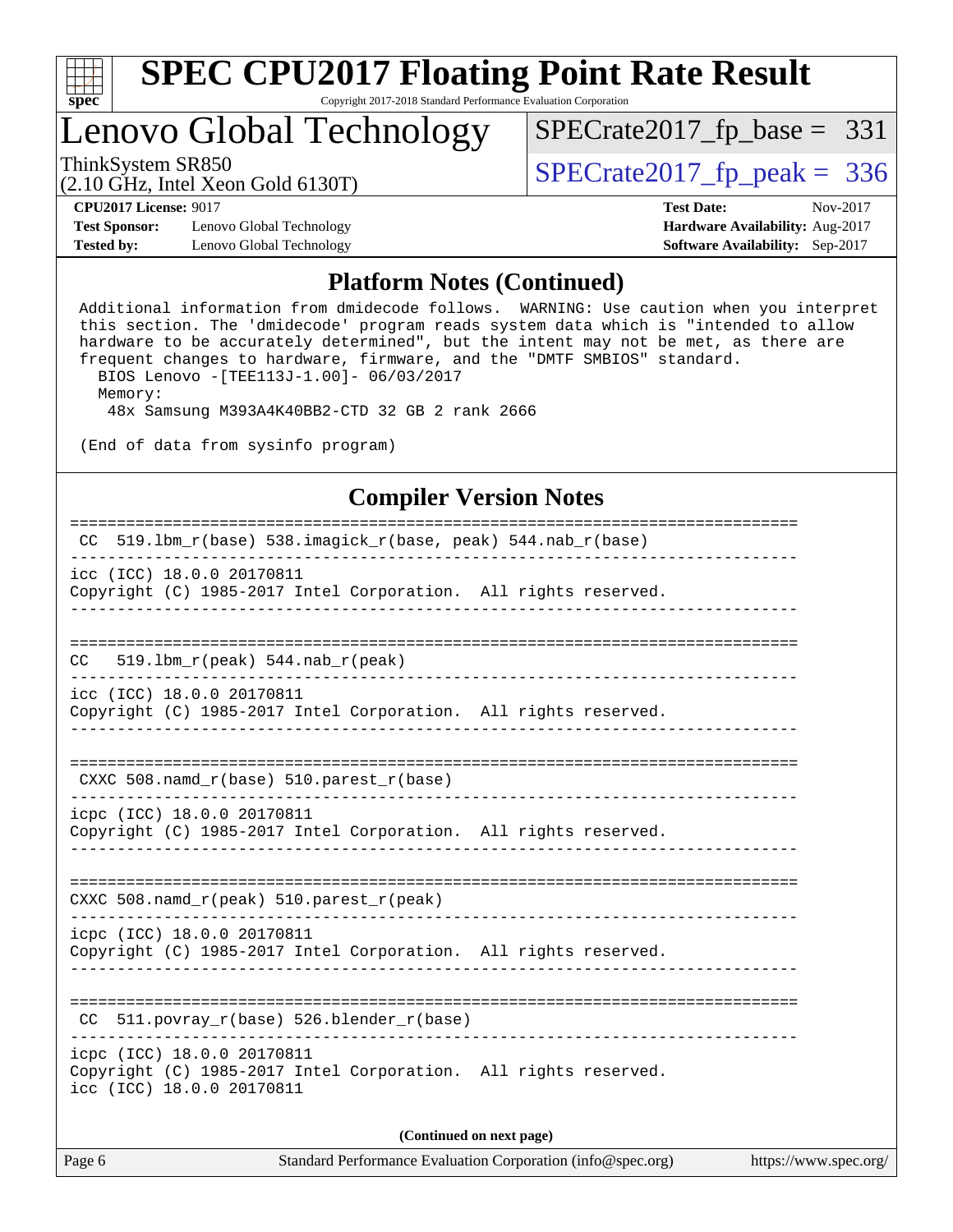

# **[SPEC CPU2017 Floating Point Rate Result](http://www.spec.org/auto/cpu2017/Docs/result-fields.html#SPECCPU2017FloatingPointRateResult)**

Copyright 2017-2018 Standard Performance Evaluation Corporation

### Lenovo Global Technology

ThinkSystem SR850<br>(2.10 GHz, Intel Xeon Gold 6130T)  $\begin{array}{r} | \text{SPECrate2017\_fp\_peak} = 336 \end{array}$ 

[SPECrate2017\\_fp\\_base =](http://www.spec.org/auto/cpu2017/Docs/result-fields.html#SPECrate2017fpbase) 331

(2.10 GHz, Intel Xeon Gold 6130T)

**[Test Sponsor:](http://www.spec.org/auto/cpu2017/Docs/result-fields.html#TestSponsor)** Lenovo Global Technology **[Hardware Availability:](http://www.spec.org/auto/cpu2017/Docs/result-fields.html#HardwareAvailability)** Aug-2017 **[Tested by:](http://www.spec.org/auto/cpu2017/Docs/result-fields.html#Testedby)** Lenovo Global Technology **[Software Availability:](http://www.spec.org/auto/cpu2017/Docs/result-fields.html#SoftwareAvailability)** Sep-2017

**[CPU2017 License:](http://www.spec.org/auto/cpu2017/Docs/result-fields.html#CPU2017License)** 9017 **[Test Date:](http://www.spec.org/auto/cpu2017/Docs/result-fields.html#TestDate)** Nov-2017

#### **[Platform Notes \(Continued\)](http://www.spec.org/auto/cpu2017/Docs/result-fields.html#PlatformNotes)**

 Additional information from dmidecode follows. WARNING: Use caution when you interpret this section. The 'dmidecode' program reads system data which is "intended to allow hardware to be accurately determined", but the intent may not be met, as there are frequent changes to hardware, firmware, and the "DMTF SMBIOS" standard. BIOS Lenovo -[TEE113J-1.00]- 06/03/2017 Memory:

48x Samsung M393A4K40BB2-CTD 32 GB 2 rank 2666

(End of data from sysinfo program)

### **[Compiler Version Notes](http://www.spec.org/auto/cpu2017/Docs/result-fields.html#CompilerVersionNotes)**

| CC 519.1bm_r(base) 538.imagick_r(base, peak) 544.nab_r(base)                                                               |  |  |  |  |  |  |
|----------------------------------------------------------------------------------------------------------------------------|--|--|--|--|--|--|
| icc (ICC) 18.0.0 20170811<br>Copyright (C) 1985-2017 Intel Corporation. All rights reserved.                               |  |  |  |  |  |  |
|                                                                                                                            |  |  |  |  |  |  |
| 519.1bm_r(peak) 544.nab_r(peak)<br>CC.                                                                                     |  |  |  |  |  |  |
| icc (ICC) 18.0.0 20170811<br>Copyright (C) 1985-2017 Intel Corporation. All rights reserved.                               |  |  |  |  |  |  |
|                                                                                                                            |  |  |  |  |  |  |
| $CXXC 508.namd_r(base) 510.parest_r(base)$                                                                                 |  |  |  |  |  |  |
| icpc (ICC) 18.0.0 20170811<br>Copyright (C) 1985-2017 Intel Corporation. All rights reserved.                              |  |  |  |  |  |  |
|                                                                                                                            |  |  |  |  |  |  |
| CXXC 508.namd_r(peak) 510.parest_r(peak)                                                                                   |  |  |  |  |  |  |
| icpc (ICC) 18.0.0 20170811<br>Copyright (C) 1985-2017 Intel Corporation. All rights reserved.                              |  |  |  |  |  |  |
|                                                                                                                            |  |  |  |  |  |  |
| CC 511.povray_r(base) 526.blender_r(base)                                                                                  |  |  |  |  |  |  |
| icpc (ICC) 18.0.0 20170811<br>Copyright (C) 1985-2017 Intel Corporation. All rights reserved.<br>icc (ICC) 18.0.0 20170811 |  |  |  |  |  |  |
| (Continued on next page)                                                                                                   |  |  |  |  |  |  |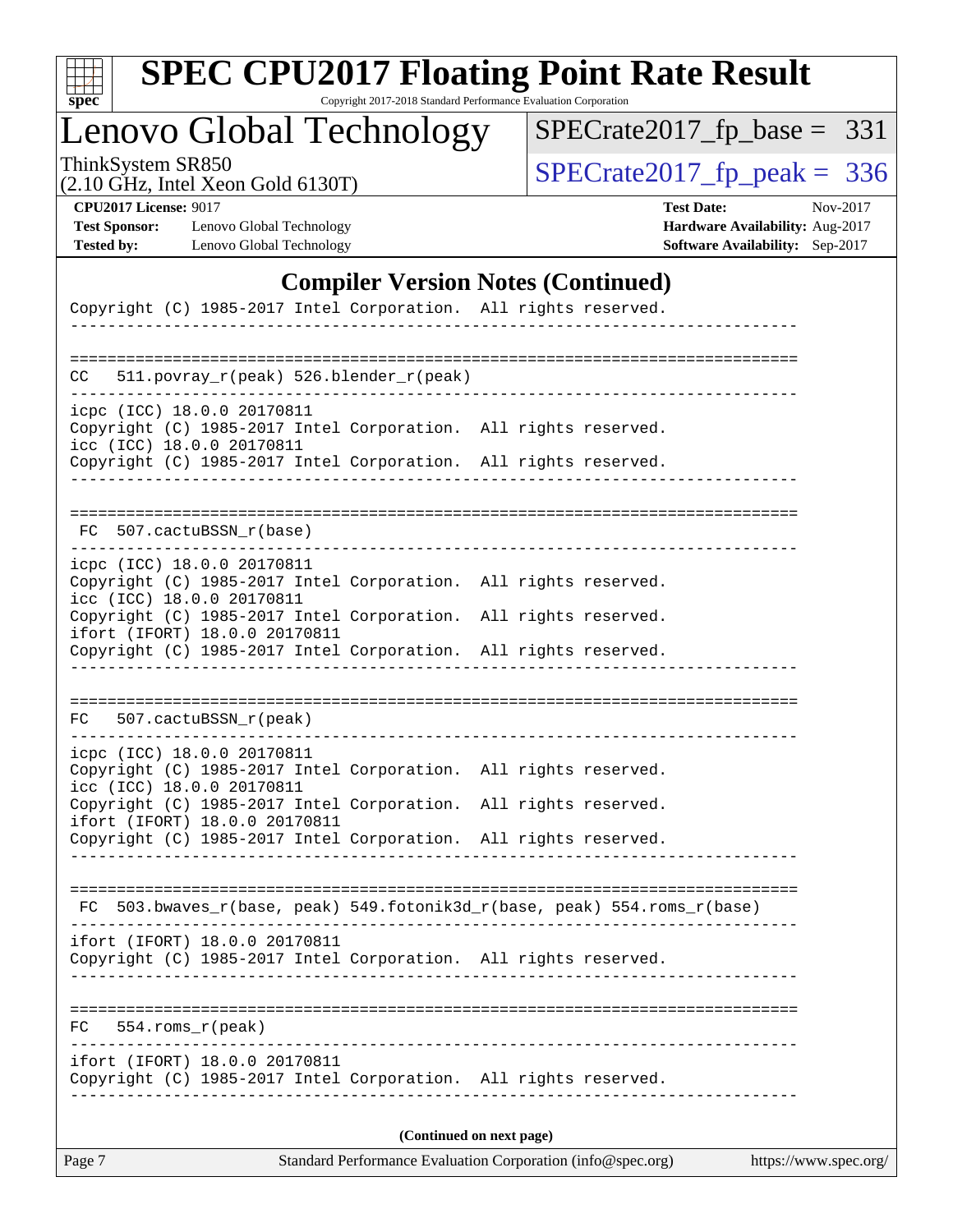| S<br>оe |  |  |  |  |  |
|---------|--|--|--|--|--|

# **[SPEC CPU2017 Floating Point Rate Result](http://www.spec.org/auto/cpu2017/Docs/result-fields.html#SPECCPU2017FloatingPointRateResult)**

Copyright 2017-2018 Standard Performance Evaluation Corporation

Lenovo Global Technology

ThinkSystem SR850<br>  $(2.10 \text{ GHz})$  Intel Xeon Gold 6130T)

[SPECrate2017\\_fp\\_base =](http://www.spec.org/auto/cpu2017/Docs/result-fields.html#SPECrate2017fpbase) 331

(2.10 GHz, Intel Xeon Gold 6130T)

**[CPU2017 License:](http://www.spec.org/auto/cpu2017/Docs/result-fields.html#CPU2017License)** 9017 **[Test Date:](http://www.spec.org/auto/cpu2017/Docs/result-fields.html#TestDate)** Nov-2017 **[Test Sponsor:](http://www.spec.org/auto/cpu2017/Docs/result-fields.html#TestSponsor)** Lenovo Global Technology **[Hardware Availability:](http://www.spec.org/auto/cpu2017/Docs/result-fields.html#HardwareAvailability)** Aug-2017 **[Tested by:](http://www.spec.org/auto/cpu2017/Docs/result-fields.html#Testedby)** Lenovo Global Technology **[Software Availability:](http://www.spec.org/auto/cpu2017/Docs/result-fields.html#SoftwareAvailability)** Sep-2017

#### **[Compiler Version Notes \(Continued\)](http://www.spec.org/auto/cpu2017/Docs/result-fields.html#CompilerVersionNotes)**

| Copyright (C) 1985-2017 Intel Corporation. All rights reserved.                                                                                                     |                                                                       |  |  |  |  |  |  |
|---------------------------------------------------------------------------------------------------------------------------------------------------------------------|-----------------------------------------------------------------------|--|--|--|--|--|--|
| 511.povray_r(peak) 526.blender_r(peak)<br>CC                                                                                                                        |                                                                       |  |  |  |  |  |  |
| icpc (ICC) 18.0.0 20170811<br>Copyright (C) 1985-2017 Intel Corporation. All rights reserved.                                                                       |                                                                       |  |  |  |  |  |  |
| icc (ICC) 18.0.0 20170811<br>Copyright (C) 1985-2017 Intel Corporation. All rights reserved.                                                                        |                                                                       |  |  |  |  |  |  |
| 507.cactuBSSN_r(base)<br>FC.                                                                                                                                        |                                                                       |  |  |  |  |  |  |
| icpc (ICC) 18.0.0 20170811<br>Copyright (C) 1985-2017 Intel Corporation. All rights reserved.<br>icc (ICC) 18.0.0 20170811                                          |                                                                       |  |  |  |  |  |  |
| Copyright (C) 1985-2017 Intel Corporation. All rights reserved.<br>ifort (IFORT) 18.0.0 20170811                                                                    |                                                                       |  |  |  |  |  |  |
| Copyright (C) 1985-2017 Intel Corporation. All rights reserved.                                                                                                     |                                                                       |  |  |  |  |  |  |
| 507.cactuBSSN_r(peak)<br>FC                                                                                                                                         |                                                                       |  |  |  |  |  |  |
| icpc (ICC) 18.0.0 20170811<br>Copyright (C) 1985-2017 Intel Corporation. All rights reserved.<br>icc (ICC) 18.0.0 20170811                                          |                                                                       |  |  |  |  |  |  |
| Copyright (C) 1985-2017 Intel Corporation. All rights reserved.<br>ifort (IFORT) 18.0.0 20170811<br>Copyright (C) 1985-2017 Intel Corporation. All rights reserved. |                                                                       |  |  |  |  |  |  |
|                                                                                                                                                                     |                                                                       |  |  |  |  |  |  |
| FC                                                                                                                                                                  | 503.bwaves_r(base, peak) 549.fotonik3d_r(base, peak) 554.roms_r(base) |  |  |  |  |  |  |
| ifort (IFORT) 18.0.0 20170811<br>Copyright (C) 1985-2017 Intel Corporation. All rights reserved.                                                                    |                                                                       |  |  |  |  |  |  |
| FC<br>554.roms r(peak)                                                                                                                                              |                                                                       |  |  |  |  |  |  |
| ifort (IFORT) 18.0.0 20170811<br>Copyright (C) 1985-2017 Intel Corporation. All rights reserved.                                                                    |                                                                       |  |  |  |  |  |  |
|                                                                                                                                                                     | (Continued on next page)                                              |  |  |  |  |  |  |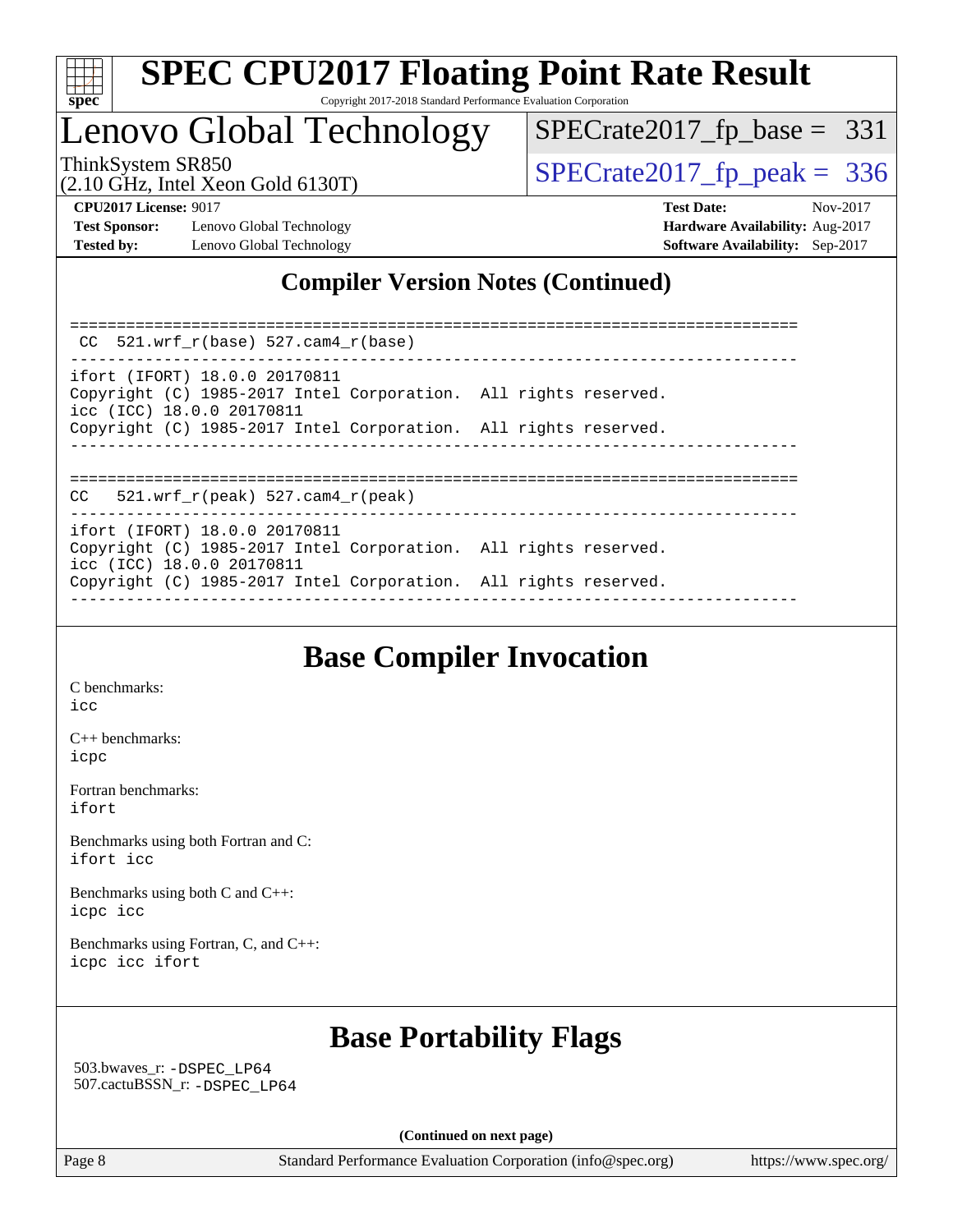

## Lenovo Global Technology

ThinkSystem SR850<br>  $\frac{10}{210}$  CH<sub>z</sub> Intel Year Gold 6130T) [SPECrate2017\\_fp\\_base =](http://www.spec.org/auto/cpu2017/Docs/result-fields.html#SPECrate2017fpbase) 331

(2.10 GHz, Intel Xeon Gold 6130T)

**[CPU2017 License:](http://www.spec.org/auto/cpu2017/Docs/result-fields.html#CPU2017License)** 9017 **[Test Date:](http://www.spec.org/auto/cpu2017/Docs/result-fields.html#TestDate)** Nov-2017 **[Test Sponsor:](http://www.spec.org/auto/cpu2017/Docs/result-fields.html#TestSponsor)** Lenovo Global Technology **[Hardware Availability:](http://www.spec.org/auto/cpu2017/Docs/result-fields.html#HardwareAvailability)** Aug-2017 **[Tested by:](http://www.spec.org/auto/cpu2017/Docs/result-fields.html#Testedby)** Lenovo Global Technology **[Software Availability:](http://www.spec.org/auto/cpu2017/Docs/result-fields.html#SoftwareAvailability)** Sep-2017

### **[Compiler Version Notes \(Continued\)](http://www.spec.org/auto/cpu2017/Docs/result-fields.html#CompilerVersionNotes)**

============================================================================== CC 521.wrf\_r(base) 527.cam4\_r(base) ----------------------------------------------------------------------------- ifort (IFORT) 18.0.0 20170811 Copyright (C) 1985-2017 Intel Corporation. All rights reserved. icc (ICC) 18.0.0 20170811 Copyright (C) 1985-2017 Intel Corporation. All rights reserved. ------------------------------------------------------------------------------ ============================================================================== CC 521.wrf\_r(peak) 527.cam4\_r(peak) ----------------------------------------------------------------------------- ifort (IFORT) 18.0.0 20170811 Copyright (C) 1985-2017 Intel Corporation. All rights reserved. icc (ICC) 18.0.0 20170811 Copyright (C) 1985-2017 Intel Corporation. All rights reserved. ------------------------------------------------------------------------------

### **[Base Compiler Invocation](http://www.spec.org/auto/cpu2017/Docs/result-fields.html#BaseCompilerInvocation)**

[C benchmarks](http://www.spec.org/auto/cpu2017/Docs/result-fields.html#Cbenchmarks): [icc](http://www.spec.org/cpu2017/results/res2017q4/cpu2017-20171212-01640.flags.html#user_CCbase_intel_icc_18.0_66fc1ee009f7361af1fbd72ca7dcefbb700085f36577c54f309893dd4ec40d12360134090235512931783d35fd58c0460139e722d5067c5574d8eaf2b3e37e92)

[C++ benchmarks:](http://www.spec.org/auto/cpu2017/Docs/result-fields.html#CXXbenchmarks) [icpc](http://www.spec.org/cpu2017/results/res2017q4/cpu2017-20171212-01640.flags.html#user_CXXbase_intel_icpc_18.0_c510b6838c7f56d33e37e94d029a35b4a7bccf4766a728ee175e80a419847e808290a9b78be685c44ab727ea267ec2f070ec5dc83b407c0218cded6866a35d07)

[Fortran benchmarks](http://www.spec.org/auto/cpu2017/Docs/result-fields.html#Fortranbenchmarks): [ifort](http://www.spec.org/cpu2017/results/res2017q4/cpu2017-20171212-01640.flags.html#user_FCbase_intel_ifort_18.0_8111460550e3ca792625aed983ce982f94888b8b503583aa7ba2b8303487b4d8a21a13e7191a45c5fd58ff318f48f9492884d4413fa793fd88dd292cad7027ca)

[Benchmarks using both Fortran and C](http://www.spec.org/auto/cpu2017/Docs/result-fields.html#BenchmarksusingbothFortranandC): [ifort](http://www.spec.org/cpu2017/results/res2017q4/cpu2017-20171212-01640.flags.html#user_CC_FCbase_intel_ifort_18.0_8111460550e3ca792625aed983ce982f94888b8b503583aa7ba2b8303487b4d8a21a13e7191a45c5fd58ff318f48f9492884d4413fa793fd88dd292cad7027ca) [icc](http://www.spec.org/cpu2017/results/res2017q4/cpu2017-20171212-01640.flags.html#user_CC_FCbase_intel_icc_18.0_66fc1ee009f7361af1fbd72ca7dcefbb700085f36577c54f309893dd4ec40d12360134090235512931783d35fd58c0460139e722d5067c5574d8eaf2b3e37e92)

[Benchmarks using both C and C++](http://www.spec.org/auto/cpu2017/Docs/result-fields.html#BenchmarksusingbothCandCXX): [icpc](http://www.spec.org/cpu2017/results/res2017q4/cpu2017-20171212-01640.flags.html#user_CC_CXXbase_intel_icpc_18.0_c510b6838c7f56d33e37e94d029a35b4a7bccf4766a728ee175e80a419847e808290a9b78be685c44ab727ea267ec2f070ec5dc83b407c0218cded6866a35d07) [icc](http://www.spec.org/cpu2017/results/res2017q4/cpu2017-20171212-01640.flags.html#user_CC_CXXbase_intel_icc_18.0_66fc1ee009f7361af1fbd72ca7dcefbb700085f36577c54f309893dd4ec40d12360134090235512931783d35fd58c0460139e722d5067c5574d8eaf2b3e37e92)

[Benchmarks using Fortran, C, and C++:](http://www.spec.org/auto/cpu2017/Docs/result-fields.html#BenchmarksusingFortranCandCXX) [icpc](http://www.spec.org/cpu2017/results/res2017q4/cpu2017-20171212-01640.flags.html#user_CC_CXX_FCbase_intel_icpc_18.0_c510b6838c7f56d33e37e94d029a35b4a7bccf4766a728ee175e80a419847e808290a9b78be685c44ab727ea267ec2f070ec5dc83b407c0218cded6866a35d07) [icc](http://www.spec.org/cpu2017/results/res2017q4/cpu2017-20171212-01640.flags.html#user_CC_CXX_FCbase_intel_icc_18.0_66fc1ee009f7361af1fbd72ca7dcefbb700085f36577c54f309893dd4ec40d12360134090235512931783d35fd58c0460139e722d5067c5574d8eaf2b3e37e92) [ifort](http://www.spec.org/cpu2017/results/res2017q4/cpu2017-20171212-01640.flags.html#user_CC_CXX_FCbase_intel_ifort_18.0_8111460550e3ca792625aed983ce982f94888b8b503583aa7ba2b8303487b4d8a21a13e7191a45c5fd58ff318f48f9492884d4413fa793fd88dd292cad7027ca)

### **[Base Portability Flags](http://www.spec.org/auto/cpu2017/Docs/result-fields.html#BasePortabilityFlags)**

 503.bwaves\_r: [-DSPEC\\_LP64](http://www.spec.org/cpu2017/results/res2017q4/cpu2017-20171212-01640.flags.html#suite_basePORTABILITY503_bwaves_r_DSPEC_LP64) 507.cactuBSSN\_r: [-DSPEC\\_LP64](http://www.spec.org/cpu2017/results/res2017q4/cpu2017-20171212-01640.flags.html#suite_basePORTABILITY507_cactuBSSN_r_DSPEC_LP64)

**(Continued on next page)**

Page 8 Standard Performance Evaluation Corporation [\(info@spec.org\)](mailto:info@spec.org) <https://www.spec.org/>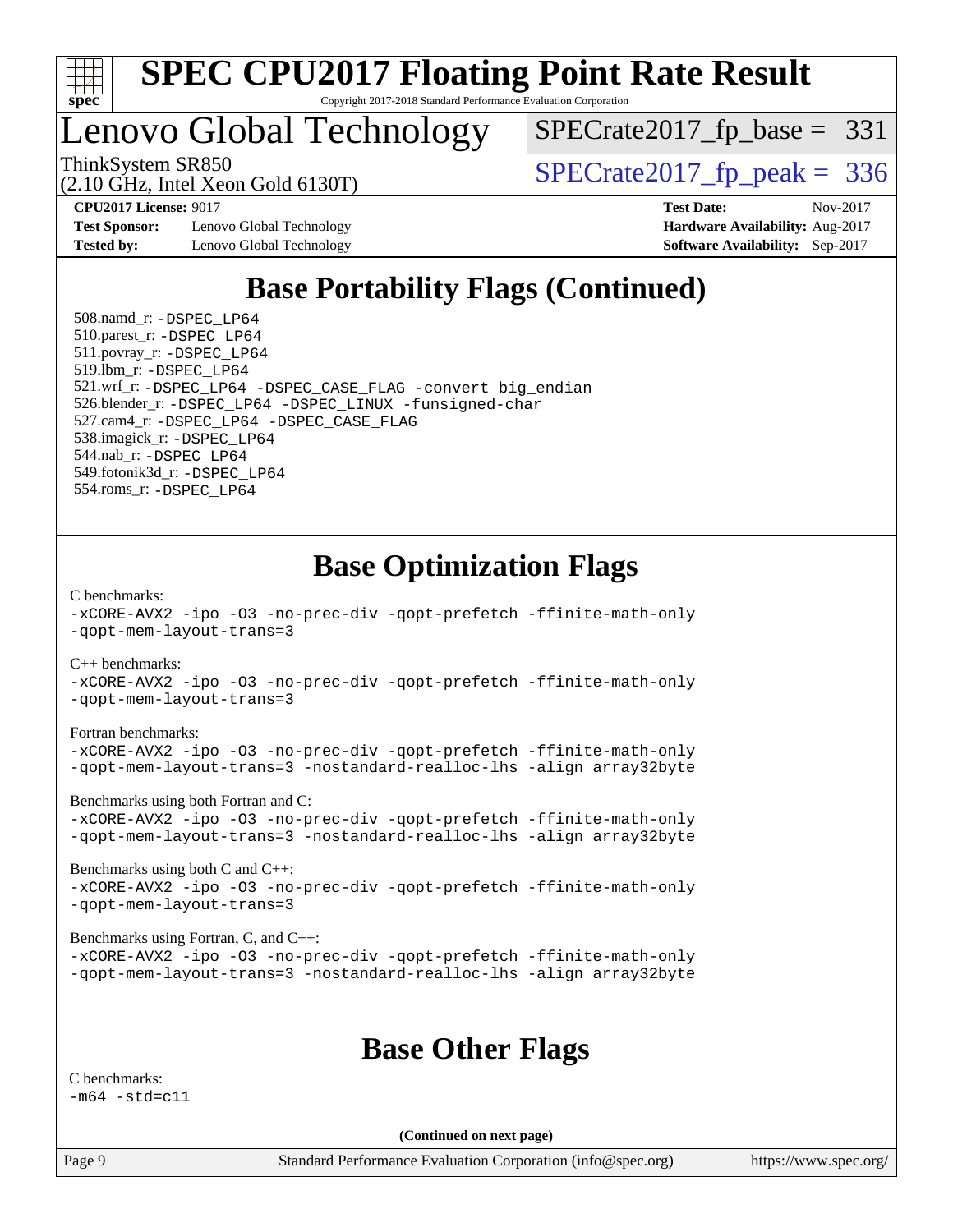

# Lenovo Global Technology

[SPECrate2017\\_fp\\_base =](http://www.spec.org/auto/cpu2017/Docs/result-fields.html#SPECrate2017fpbase) 331

(2.10 GHz, Intel Xeon Gold 6130T)

ThinkSystem SR850<br>(2.10 GHz, Intel Xeon Gold 6130T)  $\begin{array}{r} | \text{SPECrate2017\_fp\_peak} = 336 \end{array}$ 

**[Test Sponsor:](http://www.spec.org/auto/cpu2017/Docs/result-fields.html#TestSponsor)** Lenovo Global Technology **[Hardware Availability:](http://www.spec.org/auto/cpu2017/Docs/result-fields.html#HardwareAvailability)** Aug-2017 **[Tested by:](http://www.spec.org/auto/cpu2017/Docs/result-fields.html#Testedby)** Lenovo Global Technology **[Software Availability:](http://www.spec.org/auto/cpu2017/Docs/result-fields.html#SoftwareAvailability)** Sep-2017

**[CPU2017 License:](http://www.spec.org/auto/cpu2017/Docs/result-fields.html#CPU2017License)** 9017 **[Test Date:](http://www.spec.org/auto/cpu2017/Docs/result-fields.html#TestDate)** Nov-2017

### **[Base Portability Flags \(Continued\)](http://www.spec.org/auto/cpu2017/Docs/result-fields.html#BasePortabilityFlags)**

 508.namd\_r: [-DSPEC\\_LP64](http://www.spec.org/cpu2017/results/res2017q4/cpu2017-20171212-01640.flags.html#suite_basePORTABILITY508_namd_r_DSPEC_LP64) 510.parest\_r: [-DSPEC\\_LP64](http://www.spec.org/cpu2017/results/res2017q4/cpu2017-20171212-01640.flags.html#suite_basePORTABILITY510_parest_r_DSPEC_LP64) 511.povray\_r: [-DSPEC\\_LP64](http://www.spec.org/cpu2017/results/res2017q4/cpu2017-20171212-01640.flags.html#suite_basePORTABILITY511_povray_r_DSPEC_LP64) 519.lbm\_r: [-DSPEC\\_LP64](http://www.spec.org/cpu2017/results/res2017q4/cpu2017-20171212-01640.flags.html#suite_basePORTABILITY519_lbm_r_DSPEC_LP64) 521.wrf\_r: [-DSPEC\\_LP64](http://www.spec.org/cpu2017/results/res2017q4/cpu2017-20171212-01640.flags.html#suite_basePORTABILITY521_wrf_r_DSPEC_LP64) [-DSPEC\\_CASE\\_FLAG](http://www.spec.org/cpu2017/results/res2017q4/cpu2017-20171212-01640.flags.html#b521.wrf_r_baseCPORTABILITY_DSPEC_CASE_FLAG) [-convert big\\_endian](http://www.spec.org/cpu2017/results/res2017q4/cpu2017-20171212-01640.flags.html#user_baseFPORTABILITY521_wrf_r_convert_big_endian_c3194028bc08c63ac5d04de18c48ce6d347e4e562e8892b8bdbdc0214820426deb8554edfa529a3fb25a586e65a3d812c835984020483e7e73212c4d31a38223) 526.blender\_r: [-DSPEC\\_LP64](http://www.spec.org/cpu2017/results/res2017q4/cpu2017-20171212-01640.flags.html#suite_basePORTABILITY526_blender_r_DSPEC_LP64) [-DSPEC\\_LINUX](http://www.spec.org/cpu2017/results/res2017q4/cpu2017-20171212-01640.flags.html#b526.blender_r_baseCPORTABILITY_DSPEC_LINUX) [-funsigned-char](http://www.spec.org/cpu2017/results/res2017q4/cpu2017-20171212-01640.flags.html#user_baseCPORTABILITY526_blender_r_force_uchar_40c60f00ab013830e2dd6774aeded3ff59883ba5a1fc5fc14077f794d777847726e2a5858cbc7672e36e1b067e7e5c1d9a74f7176df07886a243d7cc18edfe67) 527.cam4\_r: [-DSPEC\\_LP64](http://www.spec.org/cpu2017/results/res2017q4/cpu2017-20171212-01640.flags.html#suite_basePORTABILITY527_cam4_r_DSPEC_LP64) [-DSPEC\\_CASE\\_FLAG](http://www.spec.org/cpu2017/results/res2017q4/cpu2017-20171212-01640.flags.html#b527.cam4_r_baseCPORTABILITY_DSPEC_CASE_FLAG) 538.imagick\_r: [-DSPEC\\_LP64](http://www.spec.org/cpu2017/results/res2017q4/cpu2017-20171212-01640.flags.html#suite_basePORTABILITY538_imagick_r_DSPEC_LP64) 544.nab\_r: [-DSPEC\\_LP64](http://www.spec.org/cpu2017/results/res2017q4/cpu2017-20171212-01640.flags.html#suite_basePORTABILITY544_nab_r_DSPEC_LP64) 549.fotonik3d\_r: [-DSPEC\\_LP64](http://www.spec.org/cpu2017/results/res2017q4/cpu2017-20171212-01640.flags.html#suite_basePORTABILITY549_fotonik3d_r_DSPEC_LP64) 554.roms\_r: [-DSPEC\\_LP64](http://www.spec.org/cpu2017/results/res2017q4/cpu2017-20171212-01640.flags.html#suite_basePORTABILITY554_roms_r_DSPEC_LP64)

### **[Base Optimization Flags](http://www.spec.org/auto/cpu2017/Docs/result-fields.html#BaseOptimizationFlags)**

[C benchmarks](http://www.spec.org/auto/cpu2017/Docs/result-fields.html#Cbenchmarks):

[-xCORE-AVX2](http://www.spec.org/cpu2017/results/res2017q4/cpu2017-20171212-01640.flags.html#user_CCbase_f-xCORE-AVX2) [-ipo](http://www.spec.org/cpu2017/results/res2017q4/cpu2017-20171212-01640.flags.html#user_CCbase_f-ipo) [-O3](http://www.spec.org/cpu2017/results/res2017q4/cpu2017-20171212-01640.flags.html#user_CCbase_f-O3) [-no-prec-div](http://www.spec.org/cpu2017/results/res2017q4/cpu2017-20171212-01640.flags.html#user_CCbase_f-no-prec-div) [-qopt-prefetch](http://www.spec.org/cpu2017/results/res2017q4/cpu2017-20171212-01640.flags.html#user_CCbase_f-qopt-prefetch) [-ffinite-math-only](http://www.spec.org/cpu2017/results/res2017q4/cpu2017-20171212-01640.flags.html#user_CCbase_f_finite_math_only_cb91587bd2077682c4b38af759c288ed7c732db004271a9512da14a4f8007909a5f1427ecbf1a0fb78ff2a814402c6114ac565ca162485bbcae155b5e4258871) [-qopt-mem-layout-trans=3](http://www.spec.org/cpu2017/results/res2017q4/cpu2017-20171212-01640.flags.html#user_CCbase_f-qopt-mem-layout-trans_de80db37974c74b1f0e20d883f0b675c88c3b01e9d123adea9b28688d64333345fb62bc4a798493513fdb68f60282f9a726aa07f478b2f7113531aecce732043)

[C++ benchmarks:](http://www.spec.org/auto/cpu2017/Docs/result-fields.html#CXXbenchmarks)

[-xCORE-AVX2](http://www.spec.org/cpu2017/results/res2017q4/cpu2017-20171212-01640.flags.html#user_CXXbase_f-xCORE-AVX2) [-ipo](http://www.spec.org/cpu2017/results/res2017q4/cpu2017-20171212-01640.flags.html#user_CXXbase_f-ipo) [-O3](http://www.spec.org/cpu2017/results/res2017q4/cpu2017-20171212-01640.flags.html#user_CXXbase_f-O3) [-no-prec-div](http://www.spec.org/cpu2017/results/res2017q4/cpu2017-20171212-01640.flags.html#user_CXXbase_f-no-prec-div) [-qopt-prefetch](http://www.spec.org/cpu2017/results/res2017q4/cpu2017-20171212-01640.flags.html#user_CXXbase_f-qopt-prefetch) [-ffinite-math-only](http://www.spec.org/cpu2017/results/res2017q4/cpu2017-20171212-01640.flags.html#user_CXXbase_f_finite_math_only_cb91587bd2077682c4b38af759c288ed7c732db004271a9512da14a4f8007909a5f1427ecbf1a0fb78ff2a814402c6114ac565ca162485bbcae155b5e4258871) [-qopt-mem-layout-trans=3](http://www.spec.org/cpu2017/results/res2017q4/cpu2017-20171212-01640.flags.html#user_CXXbase_f-qopt-mem-layout-trans_de80db37974c74b1f0e20d883f0b675c88c3b01e9d123adea9b28688d64333345fb62bc4a798493513fdb68f60282f9a726aa07f478b2f7113531aecce732043)

[Fortran benchmarks](http://www.spec.org/auto/cpu2017/Docs/result-fields.html#Fortranbenchmarks):

[-xCORE-AVX2](http://www.spec.org/cpu2017/results/res2017q4/cpu2017-20171212-01640.flags.html#user_FCbase_f-xCORE-AVX2) [-ipo](http://www.spec.org/cpu2017/results/res2017q4/cpu2017-20171212-01640.flags.html#user_FCbase_f-ipo) [-O3](http://www.spec.org/cpu2017/results/res2017q4/cpu2017-20171212-01640.flags.html#user_FCbase_f-O3) [-no-prec-div](http://www.spec.org/cpu2017/results/res2017q4/cpu2017-20171212-01640.flags.html#user_FCbase_f-no-prec-div) [-qopt-prefetch](http://www.spec.org/cpu2017/results/res2017q4/cpu2017-20171212-01640.flags.html#user_FCbase_f-qopt-prefetch) [-ffinite-math-only](http://www.spec.org/cpu2017/results/res2017q4/cpu2017-20171212-01640.flags.html#user_FCbase_f_finite_math_only_cb91587bd2077682c4b38af759c288ed7c732db004271a9512da14a4f8007909a5f1427ecbf1a0fb78ff2a814402c6114ac565ca162485bbcae155b5e4258871) [-qopt-mem-layout-trans=3](http://www.spec.org/cpu2017/results/res2017q4/cpu2017-20171212-01640.flags.html#user_FCbase_f-qopt-mem-layout-trans_de80db37974c74b1f0e20d883f0b675c88c3b01e9d123adea9b28688d64333345fb62bc4a798493513fdb68f60282f9a726aa07f478b2f7113531aecce732043) [-nostandard-realloc-lhs](http://www.spec.org/cpu2017/results/res2017q4/cpu2017-20171212-01640.flags.html#user_FCbase_f_2003_std_realloc_82b4557e90729c0f113870c07e44d33d6f5a304b4f63d4c15d2d0f1fab99f5daaed73bdb9275d9ae411527f28b936061aa8b9c8f2d63842963b95c9dd6426b8a) [-align array32byte](http://www.spec.org/cpu2017/results/res2017q4/cpu2017-20171212-01640.flags.html#user_FCbase_align_array32byte_b982fe038af199962ba9a80c053b8342c548c85b40b8e86eb3cc33dee0d7986a4af373ac2d51c3f7cf710a18d62fdce2948f201cd044323541f22fc0fffc51b6)

[Benchmarks using both Fortran and C](http://www.spec.org/auto/cpu2017/Docs/result-fields.html#BenchmarksusingbothFortranandC):

[-xCORE-AVX2](http://www.spec.org/cpu2017/results/res2017q4/cpu2017-20171212-01640.flags.html#user_CC_FCbase_f-xCORE-AVX2) [-ipo](http://www.spec.org/cpu2017/results/res2017q4/cpu2017-20171212-01640.flags.html#user_CC_FCbase_f-ipo) [-O3](http://www.spec.org/cpu2017/results/res2017q4/cpu2017-20171212-01640.flags.html#user_CC_FCbase_f-O3) [-no-prec-div](http://www.spec.org/cpu2017/results/res2017q4/cpu2017-20171212-01640.flags.html#user_CC_FCbase_f-no-prec-div) [-qopt-prefetch](http://www.spec.org/cpu2017/results/res2017q4/cpu2017-20171212-01640.flags.html#user_CC_FCbase_f-qopt-prefetch) [-ffinite-math-only](http://www.spec.org/cpu2017/results/res2017q4/cpu2017-20171212-01640.flags.html#user_CC_FCbase_f_finite_math_only_cb91587bd2077682c4b38af759c288ed7c732db004271a9512da14a4f8007909a5f1427ecbf1a0fb78ff2a814402c6114ac565ca162485bbcae155b5e4258871) [-qopt-mem-layout-trans=3](http://www.spec.org/cpu2017/results/res2017q4/cpu2017-20171212-01640.flags.html#user_CC_FCbase_f-qopt-mem-layout-trans_de80db37974c74b1f0e20d883f0b675c88c3b01e9d123adea9b28688d64333345fb62bc4a798493513fdb68f60282f9a726aa07f478b2f7113531aecce732043) [-nostandard-realloc-lhs](http://www.spec.org/cpu2017/results/res2017q4/cpu2017-20171212-01640.flags.html#user_CC_FCbase_f_2003_std_realloc_82b4557e90729c0f113870c07e44d33d6f5a304b4f63d4c15d2d0f1fab99f5daaed73bdb9275d9ae411527f28b936061aa8b9c8f2d63842963b95c9dd6426b8a) [-align array32byte](http://www.spec.org/cpu2017/results/res2017q4/cpu2017-20171212-01640.flags.html#user_CC_FCbase_align_array32byte_b982fe038af199962ba9a80c053b8342c548c85b40b8e86eb3cc33dee0d7986a4af373ac2d51c3f7cf710a18d62fdce2948f201cd044323541f22fc0fffc51b6)

[Benchmarks using both C and C++](http://www.spec.org/auto/cpu2017/Docs/result-fields.html#BenchmarksusingbothCandCXX): [-xCORE-AVX2](http://www.spec.org/cpu2017/results/res2017q4/cpu2017-20171212-01640.flags.html#user_CC_CXXbase_f-xCORE-AVX2) [-ipo](http://www.spec.org/cpu2017/results/res2017q4/cpu2017-20171212-01640.flags.html#user_CC_CXXbase_f-ipo) [-O3](http://www.spec.org/cpu2017/results/res2017q4/cpu2017-20171212-01640.flags.html#user_CC_CXXbase_f-O3) [-no-prec-div](http://www.spec.org/cpu2017/results/res2017q4/cpu2017-20171212-01640.flags.html#user_CC_CXXbase_f-no-prec-div) [-qopt-prefetch](http://www.spec.org/cpu2017/results/res2017q4/cpu2017-20171212-01640.flags.html#user_CC_CXXbase_f-qopt-prefetch) [-ffinite-math-only](http://www.spec.org/cpu2017/results/res2017q4/cpu2017-20171212-01640.flags.html#user_CC_CXXbase_f_finite_math_only_cb91587bd2077682c4b38af759c288ed7c732db004271a9512da14a4f8007909a5f1427ecbf1a0fb78ff2a814402c6114ac565ca162485bbcae155b5e4258871) [-qopt-mem-layout-trans=3](http://www.spec.org/cpu2017/results/res2017q4/cpu2017-20171212-01640.flags.html#user_CC_CXXbase_f-qopt-mem-layout-trans_de80db37974c74b1f0e20d883f0b675c88c3b01e9d123adea9b28688d64333345fb62bc4a798493513fdb68f60282f9a726aa07f478b2f7113531aecce732043)

[Benchmarks using Fortran, C, and C++:](http://www.spec.org/auto/cpu2017/Docs/result-fields.html#BenchmarksusingFortranCandCXX) [-xCORE-AVX2](http://www.spec.org/cpu2017/results/res2017q4/cpu2017-20171212-01640.flags.html#user_CC_CXX_FCbase_f-xCORE-AVX2) [-ipo](http://www.spec.org/cpu2017/results/res2017q4/cpu2017-20171212-01640.flags.html#user_CC_CXX_FCbase_f-ipo) [-O3](http://www.spec.org/cpu2017/results/res2017q4/cpu2017-20171212-01640.flags.html#user_CC_CXX_FCbase_f-O3) [-no-prec-div](http://www.spec.org/cpu2017/results/res2017q4/cpu2017-20171212-01640.flags.html#user_CC_CXX_FCbase_f-no-prec-div) [-qopt-prefetch](http://www.spec.org/cpu2017/results/res2017q4/cpu2017-20171212-01640.flags.html#user_CC_CXX_FCbase_f-qopt-prefetch) [-ffinite-math-only](http://www.spec.org/cpu2017/results/res2017q4/cpu2017-20171212-01640.flags.html#user_CC_CXX_FCbase_f_finite_math_only_cb91587bd2077682c4b38af759c288ed7c732db004271a9512da14a4f8007909a5f1427ecbf1a0fb78ff2a814402c6114ac565ca162485bbcae155b5e4258871) [-qopt-mem-layout-trans=3](http://www.spec.org/cpu2017/results/res2017q4/cpu2017-20171212-01640.flags.html#user_CC_CXX_FCbase_f-qopt-mem-layout-trans_de80db37974c74b1f0e20d883f0b675c88c3b01e9d123adea9b28688d64333345fb62bc4a798493513fdb68f60282f9a726aa07f478b2f7113531aecce732043) [-nostandard-realloc-lhs](http://www.spec.org/cpu2017/results/res2017q4/cpu2017-20171212-01640.flags.html#user_CC_CXX_FCbase_f_2003_std_realloc_82b4557e90729c0f113870c07e44d33d6f5a304b4f63d4c15d2d0f1fab99f5daaed73bdb9275d9ae411527f28b936061aa8b9c8f2d63842963b95c9dd6426b8a) [-align array32byte](http://www.spec.org/cpu2017/results/res2017q4/cpu2017-20171212-01640.flags.html#user_CC_CXX_FCbase_align_array32byte_b982fe038af199962ba9a80c053b8342c548c85b40b8e86eb3cc33dee0d7986a4af373ac2d51c3f7cf710a18d62fdce2948f201cd044323541f22fc0fffc51b6)

### **[Base Other Flags](http://www.spec.org/auto/cpu2017/Docs/result-fields.html#BaseOtherFlags)**

[C benchmarks:](http://www.spec.org/auto/cpu2017/Docs/result-fields.html#Cbenchmarks)  $-m64 - std = c11$  $-m64 - std = c11$ 

**(Continued on next page)**

Page 9 Standard Performance Evaluation Corporation [\(info@spec.org\)](mailto:info@spec.org) <https://www.spec.org/>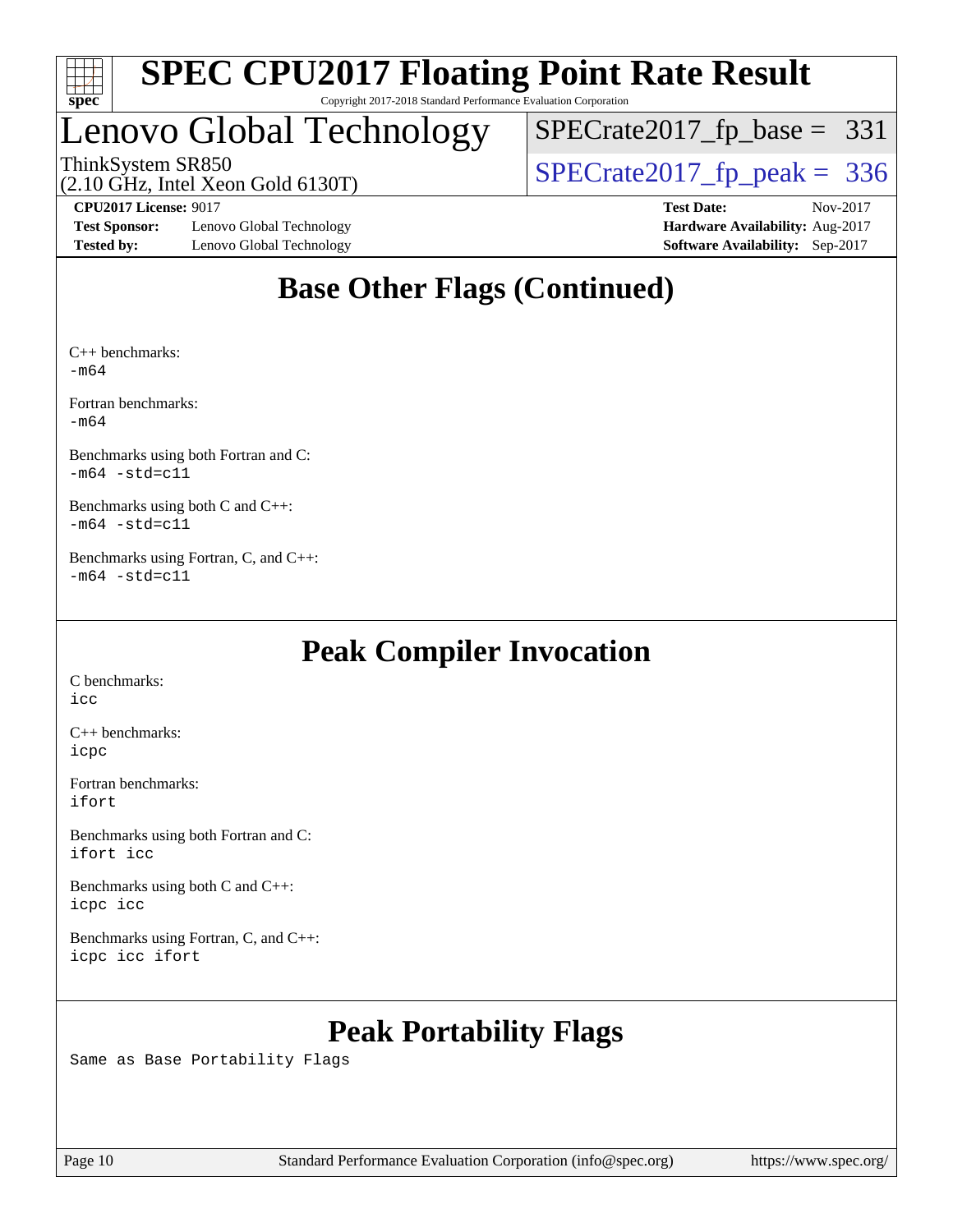

# Lenovo Global Technology

[SPECrate2017\\_fp\\_base =](http://www.spec.org/auto/cpu2017/Docs/result-fields.html#SPECrate2017fpbase) 331

(2.10 GHz, Intel Xeon Gold 6130T)

ThinkSystem SR850<br>(2.10 GHz, Intel Xeon Gold 6130T)  $\begin{array}{r} | \text{SPECrate2017\_fp\_peak} = 336 \end{array}$ 

**[Test Sponsor:](http://www.spec.org/auto/cpu2017/Docs/result-fields.html#TestSponsor)** Lenovo Global Technology **[Hardware Availability:](http://www.spec.org/auto/cpu2017/Docs/result-fields.html#HardwareAvailability)** Aug-2017 **[Tested by:](http://www.spec.org/auto/cpu2017/Docs/result-fields.html#Testedby)** Lenovo Global Technology **[Software Availability:](http://www.spec.org/auto/cpu2017/Docs/result-fields.html#SoftwareAvailability)** Sep-2017

**[CPU2017 License:](http://www.spec.org/auto/cpu2017/Docs/result-fields.html#CPU2017License)** 9017 **[Test Date:](http://www.spec.org/auto/cpu2017/Docs/result-fields.html#TestDate)** Nov-2017

### **[Base Other Flags \(Continued\)](http://www.spec.org/auto/cpu2017/Docs/result-fields.html#BaseOtherFlags)**

[C++ benchmarks](http://www.spec.org/auto/cpu2017/Docs/result-fields.html#CXXbenchmarks): [-m64](http://www.spec.org/cpu2017/results/res2017q4/cpu2017-20171212-01640.flags.html#user_CXXbase_intel_intel64_18.0_af43caccfc8ded86e7699f2159af6efc7655f51387b94da716254467f3c01020a5059329e2569e4053f409e7c9202a7efc638f7a6d1ffb3f52dea4a3e31d82ab)

[Fortran benchmarks:](http://www.spec.org/auto/cpu2017/Docs/result-fields.html#Fortranbenchmarks) [-m64](http://www.spec.org/cpu2017/results/res2017q4/cpu2017-20171212-01640.flags.html#user_FCbase_intel_intel64_18.0_af43caccfc8ded86e7699f2159af6efc7655f51387b94da716254467f3c01020a5059329e2569e4053f409e7c9202a7efc638f7a6d1ffb3f52dea4a3e31d82ab)

[Benchmarks using both Fortran and C:](http://www.spec.org/auto/cpu2017/Docs/result-fields.html#BenchmarksusingbothFortranandC)  $-m64 - std = c11$  $-m64 - std = c11$ 

[Benchmarks using both C and C++](http://www.spec.org/auto/cpu2017/Docs/result-fields.html#BenchmarksusingbothCandCXX):  $-m64 - std= c11$  $-m64 - std= c11$ 

[Benchmarks using Fortran, C, and C++](http://www.spec.org/auto/cpu2017/Docs/result-fields.html#BenchmarksusingFortranCandCXX):  $-m64 - std= c11$  $-m64 - std= c11$ 

### **[Peak Compiler Invocation](http://www.spec.org/auto/cpu2017/Docs/result-fields.html#PeakCompilerInvocation)**

[C benchmarks](http://www.spec.org/auto/cpu2017/Docs/result-fields.html#Cbenchmarks): [icc](http://www.spec.org/cpu2017/results/res2017q4/cpu2017-20171212-01640.flags.html#user_CCpeak_intel_icc_18.0_66fc1ee009f7361af1fbd72ca7dcefbb700085f36577c54f309893dd4ec40d12360134090235512931783d35fd58c0460139e722d5067c5574d8eaf2b3e37e92)

[C++ benchmarks:](http://www.spec.org/auto/cpu2017/Docs/result-fields.html#CXXbenchmarks) [icpc](http://www.spec.org/cpu2017/results/res2017q4/cpu2017-20171212-01640.flags.html#user_CXXpeak_intel_icpc_18.0_c510b6838c7f56d33e37e94d029a35b4a7bccf4766a728ee175e80a419847e808290a9b78be685c44ab727ea267ec2f070ec5dc83b407c0218cded6866a35d07)

[Fortran benchmarks](http://www.spec.org/auto/cpu2017/Docs/result-fields.html#Fortranbenchmarks): [ifort](http://www.spec.org/cpu2017/results/res2017q4/cpu2017-20171212-01640.flags.html#user_FCpeak_intel_ifort_18.0_8111460550e3ca792625aed983ce982f94888b8b503583aa7ba2b8303487b4d8a21a13e7191a45c5fd58ff318f48f9492884d4413fa793fd88dd292cad7027ca)

[Benchmarks using both Fortran and C](http://www.spec.org/auto/cpu2017/Docs/result-fields.html#BenchmarksusingbothFortranandC): [ifort](http://www.spec.org/cpu2017/results/res2017q4/cpu2017-20171212-01640.flags.html#user_CC_FCpeak_intel_ifort_18.0_8111460550e3ca792625aed983ce982f94888b8b503583aa7ba2b8303487b4d8a21a13e7191a45c5fd58ff318f48f9492884d4413fa793fd88dd292cad7027ca) [icc](http://www.spec.org/cpu2017/results/res2017q4/cpu2017-20171212-01640.flags.html#user_CC_FCpeak_intel_icc_18.0_66fc1ee009f7361af1fbd72ca7dcefbb700085f36577c54f309893dd4ec40d12360134090235512931783d35fd58c0460139e722d5067c5574d8eaf2b3e37e92)

[Benchmarks using both C and C++](http://www.spec.org/auto/cpu2017/Docs/result-fields.html#BenchmarksusingbothCandCXX): [icpc](http://www.spec.org/cpu2017/results/res2017q4/cpu2017-20171212-01640.flags.html#user_CC_CXXpeak_intel_icpc_18.0_c510b6838c7f56d33e37e94d029a35b4a7bccf4766a728ee175e80a419847e808290a9b78be685c44ab727ea267ec2f070ec5dc83b407c0218cded6866a35d07) [icc](http://www.spec.org/cpu2017/results/res2017q4/cpu2017-20171212-01640.flags.html#user_CC_CXXpeak_intel_icc_18.0_66fc1ee009f7361af1fbd72ca7dcefbb700085f36577c54f309893dd4ec40d12360134090235512931783d35fd58c0460139e722d5067c5574d8eaf2b3e37e92)

[Benchmarks using Fortran, C, and C++:](http://www.spec.org/auto/cpu2017/Docs/result-fields.html#BenchmarksusingFortranCandCXX) [icpc](http://www.spec.org/cpu2017/results/res2017q4/cpu2017-20171212-01640.flags.html#user_CC_CXX_FCpeak_intel_icpc_18.0_c510b6838c7f56d33e37e94d029a35b4a7bccf4766a728ee175e80a419847e808290a9b78be685c44ab727ea267ec2f070ec5dc83b407c0218cded6866a35d07) [icc](http://www.spec.org/cpu2017/results/res2017q4/cpu2017-20171212-01640.flags.html#user_CC_CXX_FCpeak_intel_icc_18.0_66fc1ee009f7361af1fbd72ca7dcefbb700085f36577c54f309893dd4ec40d12360134090235512931783d35fd58c0460139e722d5067c5574d8eaf2b3e37e92) [ifort](http://www.spec.org/cpu2017/results/res2017q4/cpu2017-20171212-01640.flags.html#user_CC_CXX_FCpeak_intel_ifort_18.0_8111460550e3ca792625aed983ce982f94888b8b503583aa7ba2b8303487b4d8a21a13e7191a45c5fd58ff318f48f9492884d4413fa793fd88dd292cad7027ca)

### **[Peak Portability Flags](http://www.spec.org/auto/cpu2017/Docs/result-fields.html#PeakPortabilityFlags)**

Same as Base Portability Flags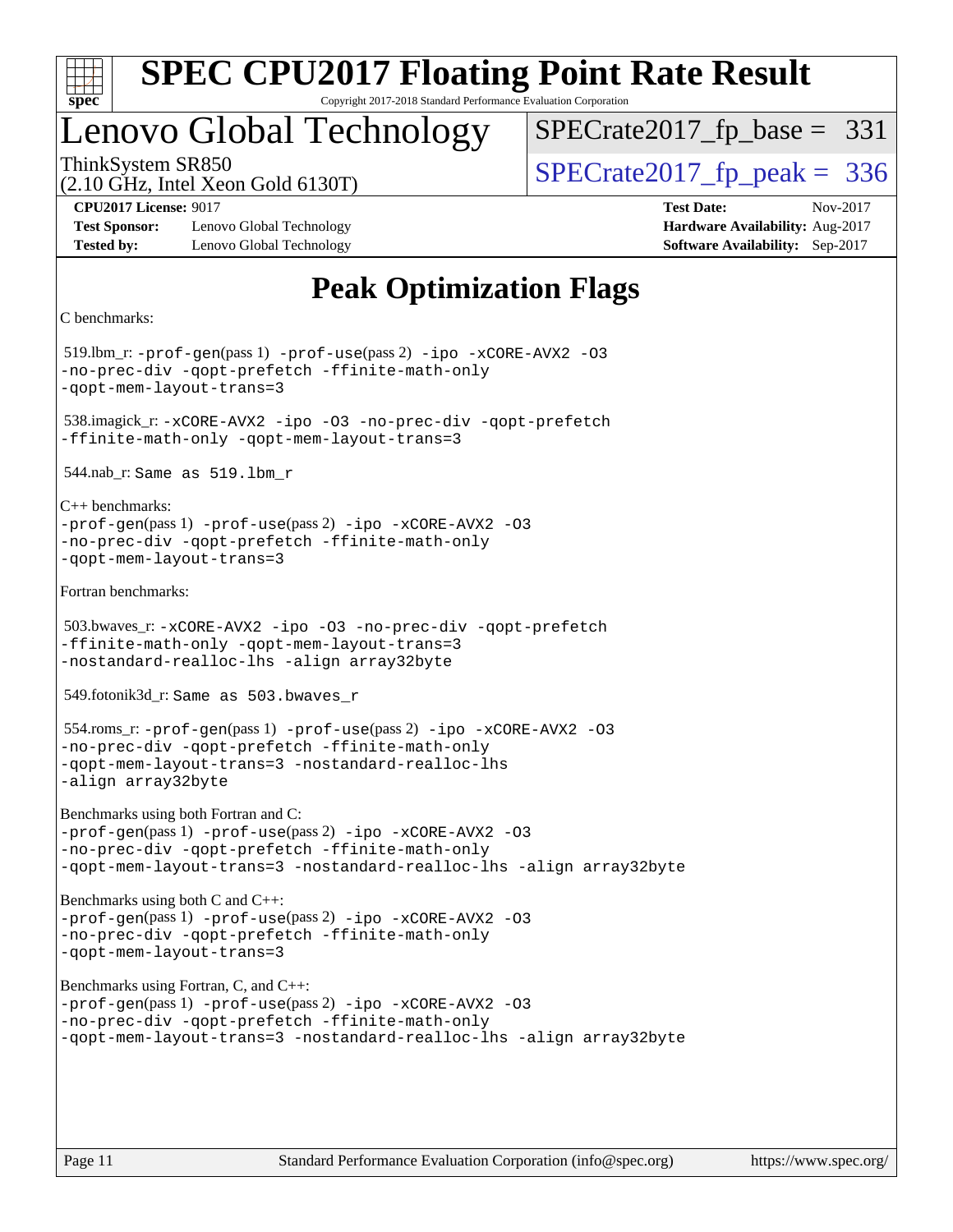

### Lenovo Global Technology

ThinkSystem SR850<br>(2.10 GHz, Intel Xeon Gold 6130T)  $\begin{array}{r} | \text{SPECrate2017\_fp\_peak} = 336 \end{array}$  $SPECTate2017_fp\_base = 331$ 

(2.10 GHz, Intel Xeon Gold 6130T)

**[Test Sponsor:](http://www.spec.org/auto/cpu2017/Docs/result-fields.html#TestSponsor)** Lenovo Global Technology **[Hardware Availability:](http://www.spec.org/auto/cpu2017/Docs/result-fields.html#HardwareAvailability)** Aug-2017 **[Tested by:](http://www.spec.org/auto/cpu2017/Docs/result-fields.html#Testedby)** Lenovo Global Technology **[Software Availability:](http://www.spec.org/auto/cpu2017/Docs/result-fields.html#SoftwareAvailability)** Sep-2017

**[CPU2017 License:](http://www.spec.org/auto/cpu2017/Docs/result-fields.html#CPU2017License)** 9017 **[Test Date:](http://www.spec.org/auto/cpu2017/Docs/result-fields.html#TestDate)** Nov-2017

### **[Peak Optimization Flags](http://www.spec.org/auto/cpu2017/Docs/result-fields.html#PeakOptimizationFlags)**

```
C benchmarks:
```
 519.lbm\_r: [-prof-gen](http://www.spec.org/cpu2017/results/res2017q4/cpu2017-20171212-01640.flags.html#user_peakPASS1_CFLAGSPASS1_LDFLAGS519_lbm_r_prof_gen_5aa4926d6013ddb2a31985c654b3eb18169fc0c6952a63635c234f711e6e63dd76e94ad52365559451ec499a2cdb89e4dc58ba4c67ef54ca681ffbe1461d6b36)(pass 1) [-prof-use](http://www.spec.org/cpu2017/results/res2017q4/cpu2017-20171212-01640.flags.html#user_peakPASS2_CFLAGSPASS2_LDFLAGS519_lbm_r_prof_use_1a21ceae95f36a2b53c25747139a6c16ca95bd9def2a207b4f0849963b97e94f5260e30a0c64f4bb623698870e679ca08317ef8150905d41bd88c6f78df73f19)(pass 2) [-ipo](http://www.spec.org/cpu2017/results/res2017q4/cpu2017-20171212-01640.flags.html#user_peakPASS1_COPTIMIZEPASS2_COPTIMIZE519_lbm_r_f-ipo) [-xCORE-AVX2](http://www.spec.org/cpu2017/results/res2017q4/cpu2017-20171212-01640.flags.html#user_peakPASS2_COPTIMIZE519_lbm_r_f-xCORE-AVX2) [-O3](http://www.spec.org/cpu2017/results/res2017q4/cpu2017-20171212-01640.flags.html#user_peakPASS1_COPTIMIZEPASS2_COPTIMIZE519_lbm_r_f-O3) [-no-prec-div](http://www.spec.org/cpu2017/results/res2017q4/cpu2017-20171212-01640.flags.html#user_peakPASS1_COPTIMIZEPASS2_COPTIMIZE519_lbm_r_f-no-prec-div) [-qopt-prefetch](http://www.spec.org/cpu2017/results/res2017q4/cpu2017-20171212-01640.flags.html#user_peakPASS1_COPTIMIZEPASS2_COPTIMIZE519_lbm_r_f-qopt-prefetch) [-ffinite-math-only](http://www.spec.org/cpu2017/results/res2017q4/cpu2017-20171212-01640.flags.html#user_peakPASS1_COPTIMIZEPASS2_COPTIMIZE519_lbm_r_f_finite_math_only_cb91587bd2077682c4b38af759c288ed7c732db004271a9512da14a4f8007909a5f1427ecbf1a0fb78ff2a814402c6114ac565ca162485bbcae155b5e4258871) [-qopt-mem-layout-trans=3](http://www.spec.org/cpu2017/results/res2017q4/cpu2017-20171212-01640.flags.html#user_peakPASS1_COPTIMIZEPASS2_COPTIMIZE519_lbm_r_f-qopt-mem-layout-trans_de80db37974c74b1f0e20d883f0b675c88c3b01e9d123adea9b28688d64333345fb62bc4a798493513fdb68f60282f9a726aa07f478b2f7113531aecce732043) 538.imagick\_r: [-xCORE-AVX2](http://www.spec.org/cpu2017/results/res2017q4/cpu2017-20171212-01640.flags.html#user_peakCOPTIMIZE538_imagick_r_f-xCORE-AVX2) [-ipo](http://www.spec.org/cpu2017/results/res2017q4/cpu2017-20171212-01640.flags.html#user_peakCOPTIMIZE538_imagick_r_f-ipo) [-O3](http://www.spec.org/cpu2017/results/res2017q4/cpu2017-20171212-01640.flags.html#user_peakCOPTIMIZE538_imagick_r_f-O3) [-no-prec-div](http://www.spec.org/cpu2017/results/res2017q4/cpu2017-20171212-01640.flags.html#user_peakCOPTIMIZE538_imagick_r_f-no-prec-div) [-qopt-prefetch](http://www.spec.org/cpu2017/results/res2017q4/cpu2017-20171212-01640.flags.html#user_peakCOPTIMIZE538_imagick_r_f-qopt-prefetch) [-ffinite-math-only](http://www.spec.org/cpu2017/results/res2017q4/cpu2017-20171212-01640.flags.html#user_peakCOPTIMIZE538_imagick_r_f_finite_math_only_cb91587bd2077682c4b38af759c288ed7c732db004271a9512da14a4f8007909a5f1427ecbf1a0fb78ff2a814402c6114ac565ca162485bbcae155b5e4258871) [-qopt-mem-layout-trans=3](http://www.spec.org/cpu2017/results/res2017q4/cpu2017-20171212-01640.flags.html#user_peakCOPTIMIZE538_imagick_r_f-qopt-mem-layout-trans_de80db37974c74b1f0e20d883f0b675c88c3b01e9d123adea9b28688d64333345fb62bc4a798493513fdb68f60282f9a726aa07f478b2f7113531aecce732043) 544.nab\_r: Same as 519.lbm\_r [C++ benchmarks](http://www.spec.org/auto/cpu2017/Docs/result-fields.html#CXXbenchmarks): [-prof-gen](http://www.spec.org/cpu2017/results/res2017q4/cpu2017-20171212-01640.flags.html#user_CXXpeak_prof_gen_5aa4926d6013ddb2a31985c654b3eb18169fc0c6952a63635c234f711e6e63dd76e94ad52365559451ec499a2cdb89e4dc58ba4c67ef54ca681ffbe1461d6b36)(pass 1) [-prof-use](http://www.spec.org/cpu2017/results/res2017q4/cpu2017-20171212-01640.flags.html#user_CXXpeak_prof_use_1a21ceae95f36a2b53c25747139a6c16ca95bd9def2a207b4f0849963b97e94f5260e30a0c64f4bb623698870e679ca08317ef8150905d41bd88c6f78df73f19)(pass 2) [-ipo](http://www.spec.org/cpu2017/results/res2017q4/cpu2017-20171212-01640.flags.html#user_CXXpeak_f-ipo) [-xCORE-AVX2](http://www.spec.org/cpu2017/results/res2017q4/cpu2017-20171212-01640.flags.html#user_CXXpeak_f-xCORE-AVX2) [-O3](http://www.spec.org/cpu2017/results/res2017q4/cpu2017-20171212-01640.flags.html#user_CXXpeak_f-O3) [-no-prec-div](http://www.spec.org/cpu2017/results/res2017q4/cpu2017-20171212-01640.flags.html#user_CXXpeak_f-no-prec-div) [-qopt-prefetch](http://www.spec.org/cpu2017/results/res2017q4/cpu2017-20171212-01640.flags.html#user_CXXpeak_f-qopt-prefetch) [-ffinite-math-only](http://www.spec.org/cpu2017/results/res2017q4/cpu2017-20171212-01640.flags.html#user_CXXpeak_f_finite_math_only_cb91587bd2077682c4b38af759c288ed7c732db004271a9512da14a4f8007909a5f1427ecbf1a0fb78ff2a814402c6114ac565ca162485bbcae155b5e4258871) [-qopt-mem-layout-trans=3](http://www.spec.org/cpu2017/results/res2017q4/cpu2017-20171212-01640.flags.html#user_CXXpeak_f-qopt-mem-layout-trans_de80db37974c74b1f0e20d883f0b675c88c3b01e9d123adea9b28688d64333345fb62bc4a798493513fdb68f60282f9a726aa07f478b2f7113531aecce732043) [Fortran benchmarks:](http://www.spec.org/auto/cpu2017/Docs/result-fields.html#Fortranbenchmarks) 503.bwaves\_r: [-xCORE-AVX2](http://www.spec.org/cpu2017/results/res2017q4/cpu2017-20171212-01640.flags.html#user_peakFOPTIMIZE503_bwaves_r_f-xCORE-AVX2) [-ipo](http://www.spec.org/cpu2017/results/res2017q4/cpu2017-20171212-01640.flags.html#user_peakFOPTIMIZE503_bwaves_r_f-ipo) [-O3](http://www.spec.org/cpu2017/results/res2017q4/cpu2017-20171212-01640.flags.html#user_peakFOPTIMIZE503_bwaves_r_f-O3) [-no-prec-div](http://www.spec.org/cpu2017/results/res2017q4/cpu2017-20171212-01640.flags.html#user_peakFOPTIMIZE503_bwaves_r_f-no-prec-div) [-qopt-prefetch](http://www.spec.org/cpu2017/results/res2017q4/cpu2017-20171212-01640.flags.html#user_peakFOPTIMIZE503_bwaves_r_f-qopt-prefetch) [-ffinite-math-only](http://www.spec.org/cpu2017/results/res2017q4/cpu2017-20171212-01640.flags.html#user_peakFOPTIMIZE503_bwaves_r_f_finite_math_only_cb91587bd2077682c4b38af759c288ed7c732db004271a9512da14a4f8007909a5f1427ecbf1a0fb78ff2a814402c6114ac565ca162485bbcae155b5e4258871) [-qopt-mem-layout-trans=3](http://www.spec.org/cpu2017/results/res2017q4/cpu2017-20171212-01640.flags.html#user_peakFOPTIMIZE503_bwaves_r_f-qopt-mem-layout-trans_de80db37974c74b1f0e20d883f0b675c88c3b01e9d123adea9b28688d64333345fb62bc4a798493513fdb68f60282f9a726aa07f478b2f7113531aecce732043) [-nostandard-realloc-lhs](http://www.spec.org/cpu2017/results/res2017q4/cpu2017-20171212-01640.flags.html#user_peakEXTRA_FOPTIMIZE503_bwaves_r_f_2003_std_realloc_82b4557e90729c0f113870c07e44d33d6f5a304b4f63d4c15d2d0f1fab99f5daaed73bdb9275d9ae411527f28b936061aa8b9c8f2d63842963b95c9dd6426b8a) [-align array32byte](http://www.spec.org/cpu2017/results/res2017q4/cpu2017-20171212-01640.flags.html#user_peakEXTRA_FOPTIMIZE503_bwaves_r_align_array32byte_b982fe038af199962ba9a80c053b8342c548c85b40b8e86eb3cc33dee0d7986a4af373ac2d51c3f7cf710a18d62fdce2948f201cd044323541f22fc0fffc51b6) 549.fotonik3d\_r: Same as 503.bwaves\_r 554.roms\_r: [-prof-gen](http://www.spec.org/cpu2017/results/res2017q4/cpu2017-20171212-01640.flags.html#user_peakPASS1_FFLAGSPASS1_LDFLAGS554_roms_r_prof_gen_5aa4926d6013ddb2a31985c654b3eb18169fc0c6952a63635c234f711e6e63dd76e94ad52365559451ec499a2cdb89e4dc58ba4c67ef54ca681ffbe1461d6b36)(pass 1) [-prof-use](http://www.spec.org/cpu2017/results/res2017q4/cpu2017-20171212-01640.flags.html#user_peakPASS2_FFLAGSPASS2_LDFLAGS554_roms_r_prof_use_1a21ceae95f36a2b53c25747139a6c16ca95bd9def2a207b4f0849963b97e94f5260e30a0c64f4bb623698870e679ca08317ef8150905d41bd88c6f78df73f19)(pass 2) [-ipo](http://www.spec.org/cpu2017/results/res2017q4/cpu2017-20171212-01640.flags.html#user_peakPASS1_FOPTIMIZEPASS2_FOPTIMIZE554_roms_r_f-ipo) [-xCORE-AVX2](http://www.spec.org/cpu2017/results/res2017q4/cpu2017-20171212-01640.flags.html#user_peakPASS2_FOPTIMIZE554_roms_r_f-xCORE-AVX2) [-O3](http://www.spec.org/cpu2017/results/res2017q4/cpu2017-20171212-01640.flags.html#user_peakPASS1_FOPTIMIZEPASS2_FOPTIMIZE554_roms_r_f-O3) [-no-prec-div](http://www.spec.org/cpu2017/results/res2017q4/cpu2017-20171212-01640.flags.html#user_peakPASS1_FOPTIMIZEPASS2_FOPTIMIZE554_roms_r_f-no-prec-div) [-qopt-prefetch](http://www.spec.org/cpu2017/results/res2017q4/cpu2017-20171212-01640.flags.html#user_peakPASS1_FOPTIMIZEPASS2_FOPTIMIZE554_roms_r_f-qopt-prefetch) [-ffinite-math-only](http://www.spec.org/cpu2017/results/res2017q4/cpu2017-20171212-01640.flags.html#user_peakPASS1_FOPTIMIZEPASS2_FOPTIMIZE554_roms_r_f_finite_math_only_cb91587bd2077682c4b38af759c288ed7c732db004271a9512da14a4f8007909a5f1427ecbf1a0fb78ff2a814402c6114ac565ca162485bbcae155b5e4258871) [-qopt-mem-layout-trans=3](http://www.spec.org/cpu2017/results/res2017q4/cpu2017-20171212-01640.flags.html#user_peakPASS1_FOPTIMIZEPASS2_FOPTIMIZE554_roms_r_f-qopt-mem-layout-trans_de80db37974c74b1f0e20d883f0b675c88c3b01e9d123adea9b28688d64333345fb62bc4a798493513fdb68f60282f9a726aa07f478b2f7113531aecce732043) [-nostandard-realloc-lhs](http://www.spec.org/cpu2017/results/res2017q4/cpu2017-20171212-01640.flags.html#user_peakEXTRA_FOPTIMIZE554_roms_r_f_2003_std_realloc_82b4557e90729c0f113870c07e44d33d6f5a304b4f63d4c15d2d0f1fab99f5daaed73bdb9275d9ae411527f28b936061aa8b9c8f2d63842963b95c9dd6426b8a) [-align array32byte](http://www.spec.org/cpu2017/results/res2017q4/cpu2017-20171212-01640.flags.html#user_peakEXTRA_FOPTIMIZE554_roms_r_align_array32byte_b982fe038af199962ba9a80c053b8342c548c85b40b8e86eb3cc33dee0d7986a4af373ac2d51c3f7cf710a18d62fdce2948f201cd044323541f22fc0fffc51b6) [Benchmarks using both Fortran and C](http://www.spec.org/auto/cpu2017/Docs/result-fields.html#BenchmarksusingbothFortranandC): [-prof-gen](http://www.spec.org/cpu2017/results/res2017q4/cpu2017-20171212-01640.flags.html#user_CC_FCpeak_prof_gen_5aa4926d6013ddb2a31985c654b3eb18169fc0c6952a63635c234f711e6e63dd76e94ad52365559451ec499a2cdb89e4dc58ba4c67ef54ca681ffbe1461d6b36)(pass 1) [-prof-use](http://www.spec.org/cpu2017/results/res2017q4/cpu2017-20171212-01640.flags.html#user_CC_FCpeak_prof_use_1a21ceae95f36a2b53c25747139a6c16ca95bd9def2a207b4f0849963b97e94f5260e30a0c64f4bb623698870e679ca08317ef8150905d41bd88c6f78df73f19)(pass 2) [-ipo](http://www.spec.org/cpu2017/results/res2017q4/cpu2017-20171212-01640.flags.html#user_CC_FCpeak_f-ipo) [-xCORE-AVX2](http://www.spec.org/cpu2017/results/res2017q4/cpu2017-20171212-01640.flags.html#user_CC_FCpeak_f-xCORE-AVX2) [-O3](http://www.spec.org/cpu2017/results/res2017q4/cpu2017-20171212-01640.flags.html#user_CC_FCpeak_f-O3) [-no-prec-div](http://www.spec.org/cpu2017/results/res2017q4/cpu2017-20171212-01640.flags.html#user_CC_FCpeak_f-no-prec-div) [-qopt-prefetch](http://www.spec.org/cpu2017/results/res2017q4/cpu2017-20171212-01640.flags.html#user_CC_FCpeak_f-qopt-prefetch) [-ffinite-math-only](http://www.spec.org/cpu2017/results/res2017q4/cpu2017-20171212-01640.flags.html#user_CC_FCpeak_f_finite_math_only_cb91587bd2077682c4b38af759c288ed7c732db004271a9512da14a4f8007909a5f1427ecbf1a0fb78ff2a814402c6114ac565ca162485bbcae155b5e4258871) [-qopt-mem-layout-trans=3](http://www.spec.org/cpu2017/results/res2017q4/cpu2017-20171212-01640.flags.html#user_CC_FCpeak_f-qopt-mem-layout-trans_de80db37974c74b1f0e20d883f0b675c88c3b01e9d123adea9b28688d64333345fb62bc4a798493513fdb68f60282f9a726aa07f478b2f7113531aecce732043) [-nostandard-realloc-lhs](http://www.spec.org/cpu2017/results/res2017q4/cpu2017-20171212-01640.flags.html#user_CC_FCpeak_f_2003_std_realloc_82b4557e90729c0f113870c07e44d33d6f5a304b4f63d4c15d2d0f1fab99f5daaed73bdb9275d9ae411527f28b936061aa8b9c8f2d63842963b95c9dd6426b8a) [-align array32byte](http://www.spec.org/cpu2017/results/res2017q4/cpu2017-20171212-01640.flags.html#user_CC_FCpeak_align_array32byte_b982fe038af199962ba9a80c053b8342c548c85b40b8e86eb3cc33dee0d7986a4af373ac2d51c3f7cf710a18d62fdce2948f201cd044323541f22fc0fffc51b6) [Benchmarks using both C and C++:](http://www.spec.org/auto/cpu2017/Docs/result-fields.html#BenchmarksusingbothCandCXX) [-prof-gen](http://www.spec.org/cpu2017/results/res2017q4/cpu2017-20171212-01640.flags.html#user_CC_CXXpeak_prof_gen_5aa4926d6013ddb2a31985c654b3eb18169fc0c6952a63635c234f711e6e63dd76e94ad52365559451ec499a2cdb89e4dc58ba4c67ef54ca681ffbe1461d6b36)(pass 1) [-prof-use](http://www.spec.org/cpu2017/results/res2017q4/cpu2017-20171212-01640.flags.html#user_CC_CXXpeak_prof_use_1a21ceae95f36a2b53c25747139a6c16ca95bd9def2a207b4f0849963b97e94f5260e30a0c64f4bb623698870e679ca08317ef8150905d41bd88c6f78df73f19)(pass 2) [-ipo](http://www.spec.org/cpu2017/results/res2017q4/cpu2017-20171212-01640.flags.html#user_CC_CXXpeak_f-ipo) [-xCORE-AVX2](http://www.spec.org/cpu2017/results/res2017q4/cpu2017-20171212-01640.flags.html#user_CC_CXXpeak_f-xCORE-AVX2) [-O3](http://www.spec.org/cpu2017/results/res2017q4/cpu2017-20171212-01640.flags.html#user_CC_CXXpeak_f-O3) [-no-prec-div](http://www.spec.org/cpu2017/results/res2017q4/cpu2017-20171212-01640.flags.html#user_CC_CXXpeak_f-no-prec-div) [-qopt-prefetch](http://www.spec.org/cpu2017/results/res2017q4/cpu2017-20171212-01640.flags.html#user_CC_CXXpeak_f-qopt-prefetch) [-ffinite-math-only](http://www.spec.org/cpu2017/results/res2017q4/cpu2017-20171212-01640.flags.html#user_CC_CXXpeak_f_finite_math_only_cb91587bd2077682c4b38af759c288ed7c732db004271a9512da14a4f8007909a5f1427ecbf1a0fb78ff2a814402c6114ac565ca162485bbcae155b5e4258871) [-qopt-mem-layout-trans=3](http://www.spec.org/cpu2017/results/res2017q4/cpu2017-20171212-01640.flags.html#user_CC_CXXpeak_f-qopt-mem-layout-trans_de80db37974c74b1f0e20d883f0b675c88c3b01e9d123adea9b28688d64333345fb62bc4a798493513fdb68f60282f9a726aa07f478b2f7113531aecce732043) [Benchmarks using Fortran, C, and C++](http://www.spec.org/auto/cpu2017/Docs/result-fields.html#BenchmarksusingFortranCandCXX): [-prof-gen](http://www.spec.org/cpu2017/results/res2017q4/cpu2017-20171212-01640.flags.html#user_CC_CXX_FCpeak_prof_gen_5aa4926d6013ddb2a31985c654b3eb18169fc0c6952a63635c234f711e6e63dd76e94ad52365559451ec499a2cdb89e4dc58ba4c67ef54ca681ffbe1461d6b36)(pass 1) [-prof-use](http://www.spec.org/cpu2017/results/res2017q4/cpu2017-20171212-01640.flags.html#user_CC_CXX_FCpeak_prof_use_1a21ceae95f36a2b53c25747139a6c16ca95bd9def2a207b4f0849963b97e94f5260e30a0c64f4bb623698870e679ca08317ef8150905d41bd88c6f78df73f19)(pass 2) [-ipo](http://www.spec.org/cpu2017/results/res2017q4/cpu2017-20171212-01640.flags.html#user_CC_CXX_FCpeak_f-ipo) [-xCORE-AVX2](http://www.spec.org/cpu2017/results/res2017q4/cpu2017-20171212-01640.flags.html#user_CC_CXX_FCpeak_f-xCORE-AVX2) [-O3](http://www.spec.org/cpu2017/results/res2017q4/cpu2017-20171212-01640.flags.html#user_CC_CXX_FCpeak_f-O3) [-no-prec-div](http://www.spec.org/cpu2017/results/res2017q4/cpu2017-20171212-01640.flags.html#user_CC_CXX_FCpeak_f-no-prec-div) [-qopt-prefetch](http://www.spec.org/cpu2017/results/res2017q4/cpu2017-20171212-01640.flags.html#user_CC_CXX_FCpeak_f-qopt-prefetch) [-ffinite-math-only](http://www.spec.org/cpu2017/results/res2017q4/cpu2017-20171212-01640.flags.html#user_CC_CXX_FCpeak_f_finite_math_only_cb91587bd2077682c4b38af759c288ed7c732db004271a9512da14a4f8007909a5f1427ecbf1a0fb78ff2a814402c6114ac565ca162485bbcae155b5e4258871) [-qopt-mem-layout-trans=3](http://www.spec.org/cpu2017/results/res2017q4/cpu2017-20171212-01640.flags.html#user_CC_CXX_FCpeak_f-qopt-mem-layout-trans_de80db37974c74b1f0e20d883f0b675c88c3b01e9d123adea9b28688d64333345fb62bc4a798493513fdb68f60282f9a726aa07f478b2f7113531aecce732043) [-nostandard-realloc-lhs](http://www.spec.org/cpu2017/results/res2017q4/cpu2017-20171212-01640.flags.html#user_CC_CXX_FCpeak_f_2003_std_realloc_82b4557e90729c0f113870c07e44d33d6f5a304b4f63d4c15d2d0f1fab99f5daaed73bdb9275d9ae411527f28b936061aa8b9c8f2d63842963b95c9dd6426b8a) [-align array32byte](http://www.spec.org/cpu2017/results/res2017q4/cpu2017-20171212-01640.flags.html#user_CC_CXX_FCpeak_align_array32byte_b982fe038af199962ba9a80c053b8342c548c85b40b8e86eb3cc33dee0d7986a4af373ac2d51c3f7cf710a18d62fdce2948f201cd044323541f22fc0fffc51b6)